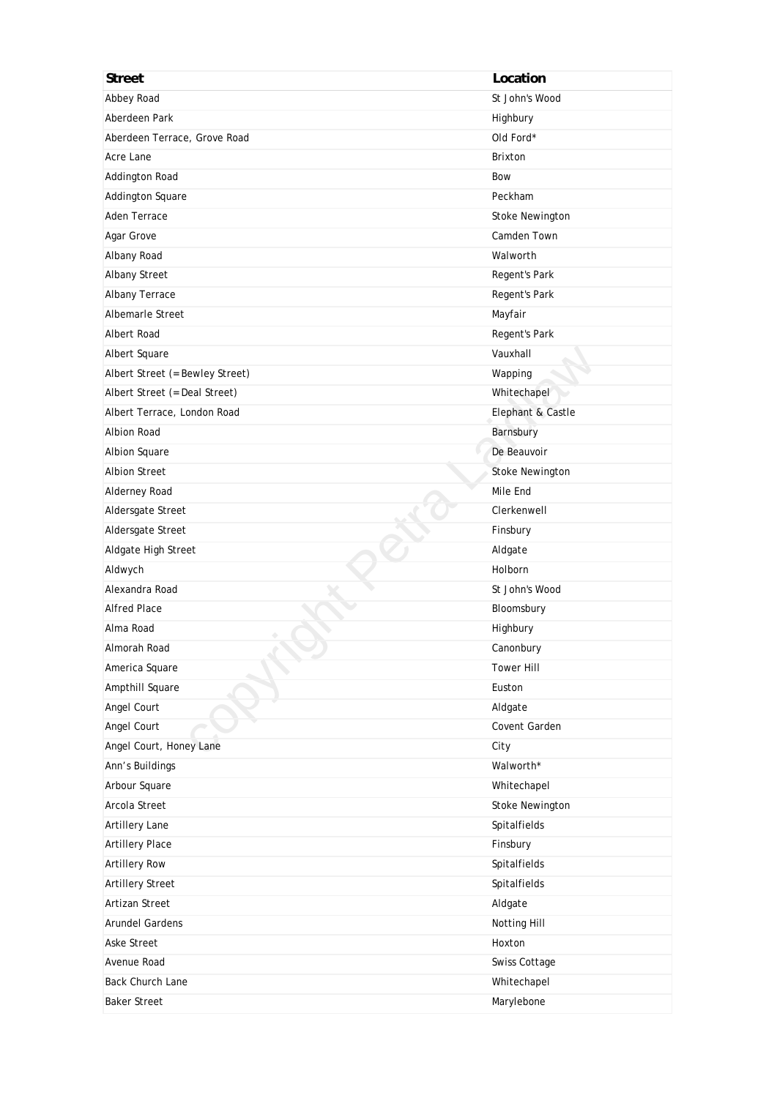| <b>Street</b>                   | Location               |
|---------------------------------|------------------------|
| Abbey Road                      | St John's Wood         |
| Aberdeen Park                   | Highbury               |
| Aberdeen Terrace, Grove Road    | Old Ford*              |
| Acre Lane                       | <b>Brixton</b>         |
| Addington Road                  | Bow                    |
| Addington Square                | Peckham                |
| Aden Terrace                    | Stoke Newington        |
| Agar Grove                      | Camden Town            |
| Albany Road                     | Walworth               |
| Albany Street                   | Regent's Park          |
| Albany Terrace                  | Regent's Park          |
| Albemarle Street                | Mayfair                |
| Albert Road                     | Regent's Park          |
| Albert Square                   | Vauxhall               |
| Albert Street (= Bewley Street) | Wapping                |
| Albert Street (= Deal Street)   | Whitechapel            |
| Albert Terrace, London Road     | Elephant & Castle      |
| <b>Albion Road</b>              | Barnsbury              |
| Albion Square                   | De Beauvoir            |
| <b>Albion Street</b>            | <b>Stoke Newington</b> |
| Alderney Road                   | Mile End               |
| Aldersgate Street               | Clerkenwell            |
| Aldersgate Street               | Finsbury               |
| Aldgate High Street             | Aldgate                |
| Aldwych                         | Holborn                |
| Alexandra Road                  | St John's Wood         |
| <b>Alfred Place</b>             | Bloomsbury             |
| Alma Road                       | Highbury               |
| Almorah Road                    | Canonbury              |
| America Square                  | <b>Tower Hill</b>      |
| Ampthill Square                 | Euston                 |
| Angel Court                     | Aldgate                |
| Angel Court                     | Covent Garden          |
| Angel Court, Honey Lane         | City                   |
| Ann's Buildings                 | Walworth*              |
| Arbour Square                   | Whitechapel            |
| Arcola Street                   | <b>Stoke Newington</b> |
| Artillery Lane                  | Spitalfields           |
| <b>Artillery Place</b>          | Finsbury               |
| <b>Artillery Row</b>            | Spitalfields           |
| <b>Artillery Street</b>         | Spitalfields           |
| Artizan Street                  | Aldgate                |
| Arundel Gardens                 | Notting Hill           |
| <b>Aske Street</b>              | Hoxton                 |
| Avenue Road                     | Swiss Cottage          |
| <b>Back Church Lane</b>         | Whitechapel            |
| <b>Baker Street</b>             | Marylebone             |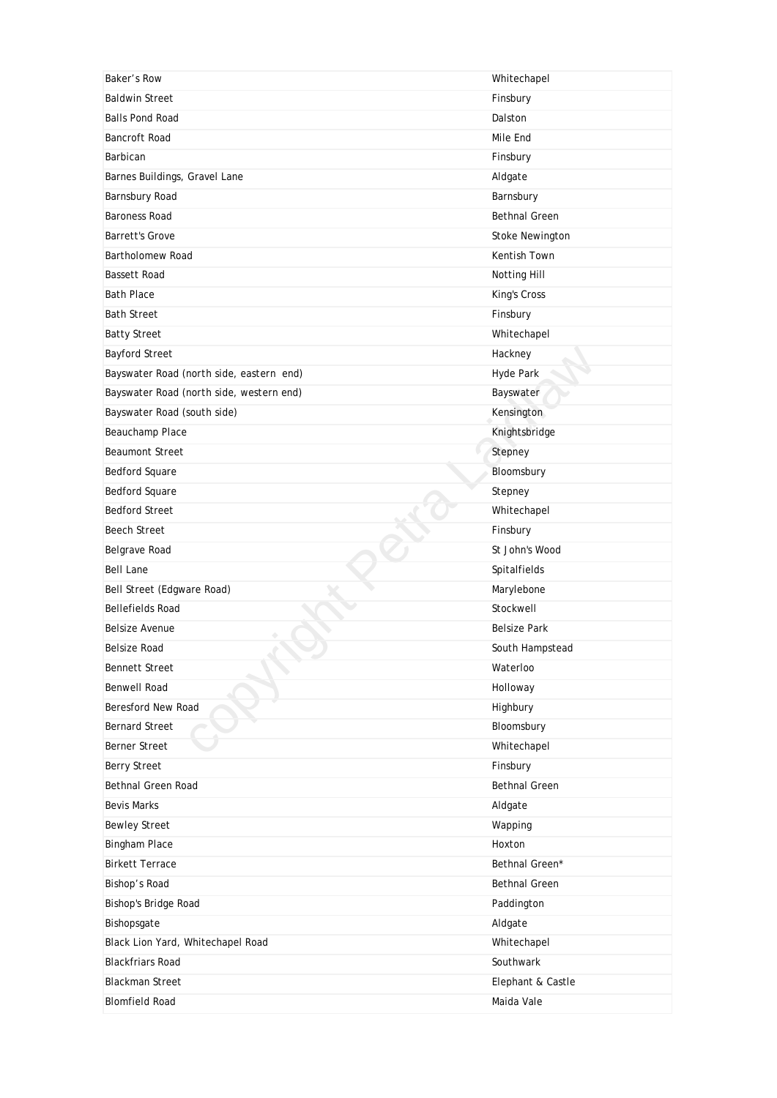| Baker's Row                              | Whitechapel            |
|------------------------------------------|------------------------|
| <b>Baldwin Street</b>                    | Finsbury               |
| <b>Balls Pond Road</b>                   | Dalston                |
| <b>Bancroft Road</b>                     | Mile End               |
| Barbican                                 | Finsbury               |
| Barnes Buildings, Gravel Lane            | Aldgate                |
| Barnsbury Road                           | Barnsbury              |
| <b>Baroness Road</b>                     | <b>Bethnal Green</b>   |
| <b>Barrett's Grove</b>                   | <b>Stoke Newington</b> |
| Bartholomew Road                         | Kentish Town           |
| <b>Bassett Road</b>                      | Notting Hill           |
| <b>Bath Place</b>                        | King's Cross           |
| <b>Bath Street</b>                       | Finsbury               |
| <b>Batty Street</b>                      | Whitechapel            |
| <b>Bayford Street</b>                    | Hackney                |
| Bayswater Road (north side, eastern end) | Hyde Park              |
| Bayswater Road (north side, western end) | Bayswater              |
| Bayswater Road (south side)              | Kensington             |
| Beauchamp Place                          | Knightsbridge          |
| <b>Beaumont Street</b>                   | Stepney                |
| <b>Bedford Square</b>                    | Bloomsbury             |
| <b>Bedford Square</b>                    | Stepney                |
| <b>Bedford Street</b>                    | Whitechapel            |
| <b>Beech Street</b>                      | Finsbury               |
| Belgrave Road                            | St John's Wood         |
| <b>Bell Lane</b>                         | Spitalfields           |
| Bell Street (Edgware Road)               | Marylebone             |
| <b>Bellefields Road</b>                  | Stockwell              |
| <b>Belsize Avenue</b>                    | <b>Belsize Park</b>    |
| Belsize Road                             | South Hampstead        |
| <b>Bennett Street</b>                    | Waterloo               |
| Benwell Road                             | Holloway               |
| Beresford New Road                       | Highbury               |
| <b>Bernard Street</b>                    | Bloomsbury             |
| Berner Street                            | Whitechapel            |
| <b>Berry Street</b>                      |                        |
|                                          | Finsbury               |
| Bethnal Green Road                       | <b>Bethnal Green</b>   |
| <b>Bevis Marks</b>                       | Aldgate                |
| <b>Bewley Street</b>                     | Wapping                |
| <b>Bingham Place</b>                     | Hoxton                 |
| <b>Birkett Terrace</b>                   | Bethnal Green*         |
| Bishop's Road                            | <b>Bethnal Green</b>   |
| Bishop's Bridge Road                     | Paddington             |
| Bishopsgate                              | Aldgate                |
| Black Lion Yard, Whitechapel Road        | Whitechapel            |
| <b>Blackfriars Road</b>                  | Southwark              |
| <b>Blackman Street</b>                   | Elephant & Castle      |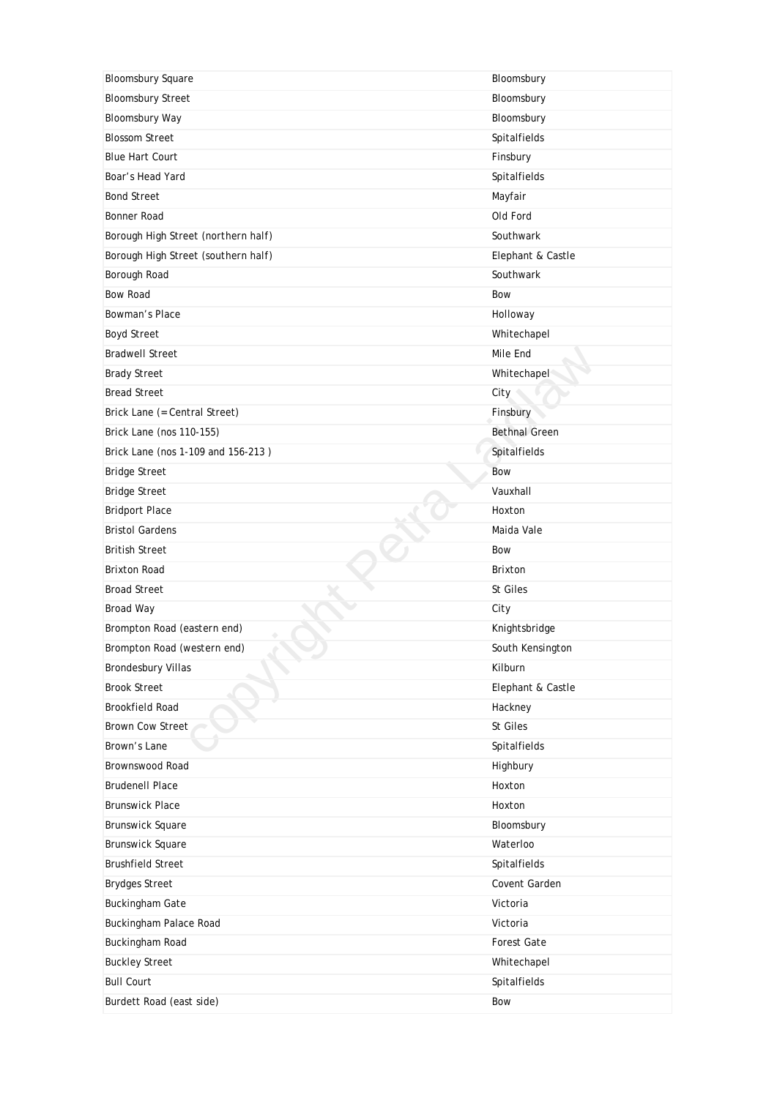| <b>Bloomsbury Square</b>            | Bloomsbury           |
|-------------------------------------|----------------------|
| <b>Bloomsbury Street</b>            | Bloomsbury           |
| Bloomsbury Way                      | Bloomsbury           |
| <b>Blossom Street</b>               | Spitalfields         |
| <b>Blue Hart Court</b>              | Finsbury             |
| Boar's Head Yard                    | Spitalfields         |
| <b>Bond Street</b>                  | Mayfair              |
| Bonner Road                         | Old Ford             |
| Borough High Street (northern half) | Southwark            |
| Borough High Street (southern half) | Elephant & Castle    |
| Borough Road                        | Southwark            |
| <b>Bow Road</b>                     | Bow                  |
| Bowman's Place                      | Holloway             |
| <b>Boyd Street</b>                  | Whitechapel          |
| <b>Bradwell Street</b>              | Mile End             |
| <b>Brady Street</b>                 | Whitechapel          |
| <b>Bread Street</b>                 | City                 |
| Brick Lane (= Central Street)       | Finsbury             |
| Brick Lane (nos 110-155)            | <b>Bethnal Green</b> |
| Brick Lane (nos 1-109 and 156-213)  | Spitalfields         |
| <b>Bridge Street</b>                | Bow                  |
| <b>Bridge Street</b>                | Vauxhall             |
| <b>Bridport Place</b>               | Hoxton               |
| <b>Bristol Gardens</b>              | Maida Vale           |
| <b>British Street</b>               | Bow                  |
| <b>Brixton Road</b>                 | <b>Brixton</b>       |
| <b>Broad Street</b>                 | St Giles             |
| <b>Broad Way</b>                    | City                 |
| Brompton Road (eastern end)         | Knightsbridge        |
| Brompton Road (western end)         | South Kensington     |
| <b>Brondesbury Villas</b>           | Kilburn              |
| <b>Brook Street</b>                 | Elephant & Castle    |
| <b>Brookfield Road</b>              | Hackney              |
| <b>Brown Cow Street</b>             |                      |
|                                     | St Giles             |
| Brown's Lane                        | Spitalfields         |
| Brownswood Road                     | Highbury             |
| <b>Brudenell Place</b>              | Hoxton               |
| <b>Brunswick Place</b>              | Hoxton               |
| <b>Brunswick Square</b>             | Bloomsbury           |
| <b>Brunswick Square</b>             | Waterloo             |
| <b>Brushfield Street</b>            | Spitalfields         |
| <b>Brydges Street</b>               | Covent Garden        |
| <b>Buckingham Gate</b>              | Victoria             |
| Buckingham Palace Road              | Victoria             |
| Buckingham Road                     | Forest Gate          |
| <b>Buckley Street</b>               | Whitechapel          |
| <b>Bull Court</b>                   | Spitalfields         |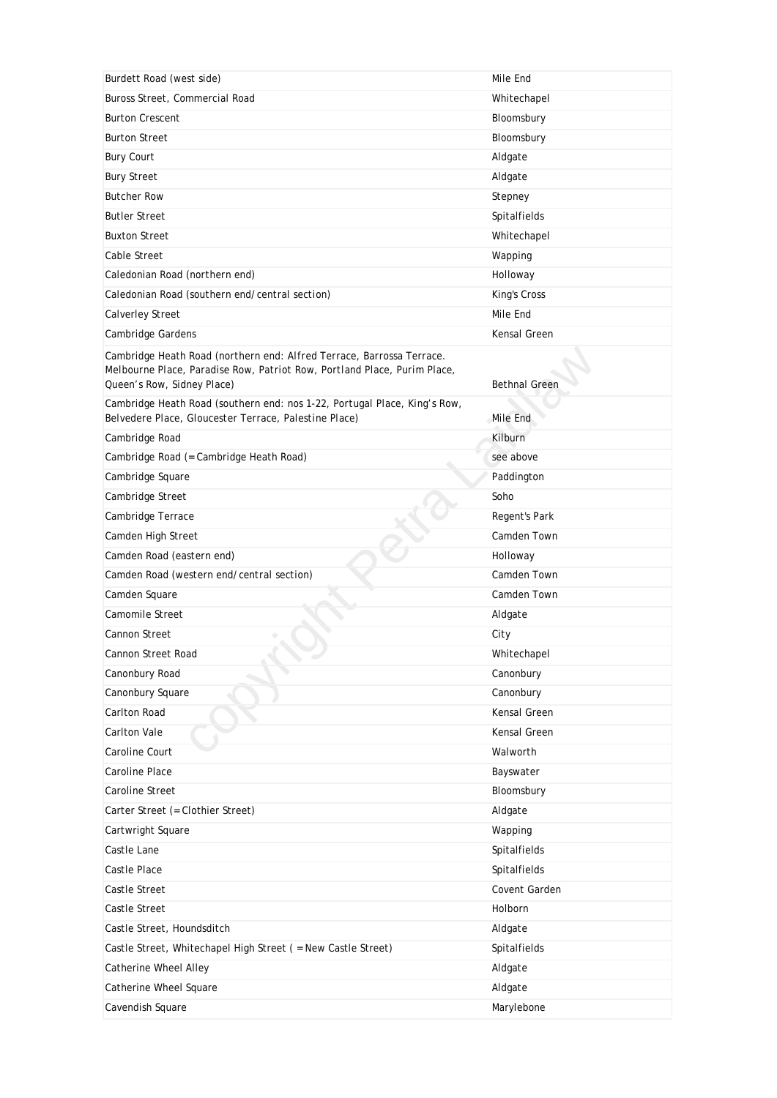| Burdett Road (west side)                                                                                                                                                        | Mile End             |
|---------------------------------------------------------------------------------------------------------------------------------------------------------------------------------|----------------------|
| Buross Street, Commercial Road                                                                                                                                                  | Whitechapel          |
| <b>Burton Crescent</b>                                                                                                                                                          | Bloomsbury           |
| <b>Burton Street</b>                                                                                                                                                            | Bloomsbury           |
| <b>Bury Court</b>                                                                                                                                                               | Aldgate              |
| <b>Bury Street</b>                                                                                                                                                              | Aldgate              |
| <b>Butcher Row</b>                                                                                                                                                              | Stepney              |
| <b>Butler Street</b>                                                                                                                                                            | Spitalfields         |
| <b>Buxton Street</b>                                                                                                                                                            | Whitechapel          |
| Cable Street                                                                                                                                                                    | Wapping              |
| Caledonian Road (northern end)                                                                                                                                                  | Holloway             |
| Caledonian Road (southern end/central section)                                                                                                                                  | King's Cross         |
| <b>Calverley Street</b>                                                                                                                                                         | Mile End             |
| Cambridge Gardens                                                                                                                                                               | Kensal Green         |
| Cambridge Heath Road (northern end: Alfred Terrace, Barrossa Terrace.<br>Melbourne Place, Paradise Row, Patriot Row, Portland Place, Purim Place,<br>Queen's Row, Sidney Place) | <b>Bethnal Green</b> |
| Cambridge Heath Road (southern end: nos 1-22, Portugal Place, King's Row,<br>Belvedere Place, Gloucester Terrace, Palestine Place)                                              | Mile End             |
| Cambridge Road                                                                                                                                                                  | Kilburn              |
| Cambridge Road (= Cambridge Heath Road)                                                                                                                                         | see above            |
| Cambridge Square                                                                                                                                                                | Paddington           |
| Cambridge Street                                                                                                                                                                | Soho                 |
| Cambridge Terrace                                                                                                                                                               | Regent's Park        |
| Camden High Street                                                                                                                                                              | Camden Town          |
| Camden Road (eastern end)                                                                                                                                                       | Holloway             |
| Camden Road (western end/central section)                                                                                                                                       | Camden Town          |
| Camden Square                                                                                                                                                                   | Camden Town          |
| Camomile Street                                                                                                                                                                 | Aldgate              |
| Cannon Street                                                                                                                                                                   | City                 |
| Cannon Street Road                                                                                                                                                              | Whitechapel          |
| Canonbury Road                                                                                                                                                                  | Canonbury            |
| Canonbury Square                                                                                                                                                                | Canonbury            |
| Carlton Road                                                                                                                                                                    | Kensal Green         |
| <b>Carlton Vale</b>                                                                                                                                                             | Kensal Green         |
| Caroline Court                                                                                                                                                                  | Walworth             |
| Caroline Place                                                                                                                                                                  | Bayswater            |
| <b>Caroline Street</b>                                                                                                                                                          | Bloomsbury           |
| Carter Street (= Clothier Street)                                                                                                                                               | Aldgate              |
| Cartwright Square                                                                                                                                                               | Wapping              |
| Castle Lane                                                                                                                                                                     | Spitalfields         |
| <b>Castle Place</b>                                                                                                                                                             | Spitalfields         |
| Castle Street                                                                                                                                                                   | Covent Garden        |
| Castle Street                                                                                                                                                                   | Holborn              |
| Castle Street, Houndsditch                                                                                                                                                      | Aldgate              |
| Castle Street, Whitechapel High Street ( = New Castle Street)                                                                                                                   | Spitalfields         |
| Catherine Wheel Alley                                                                                                                                                           | Aldgate              |
| Catherine Wheel Square                                                                                                                                                          | Aldgate              |
| Cavendish Square                                                                                                                                                                | Marylebone           |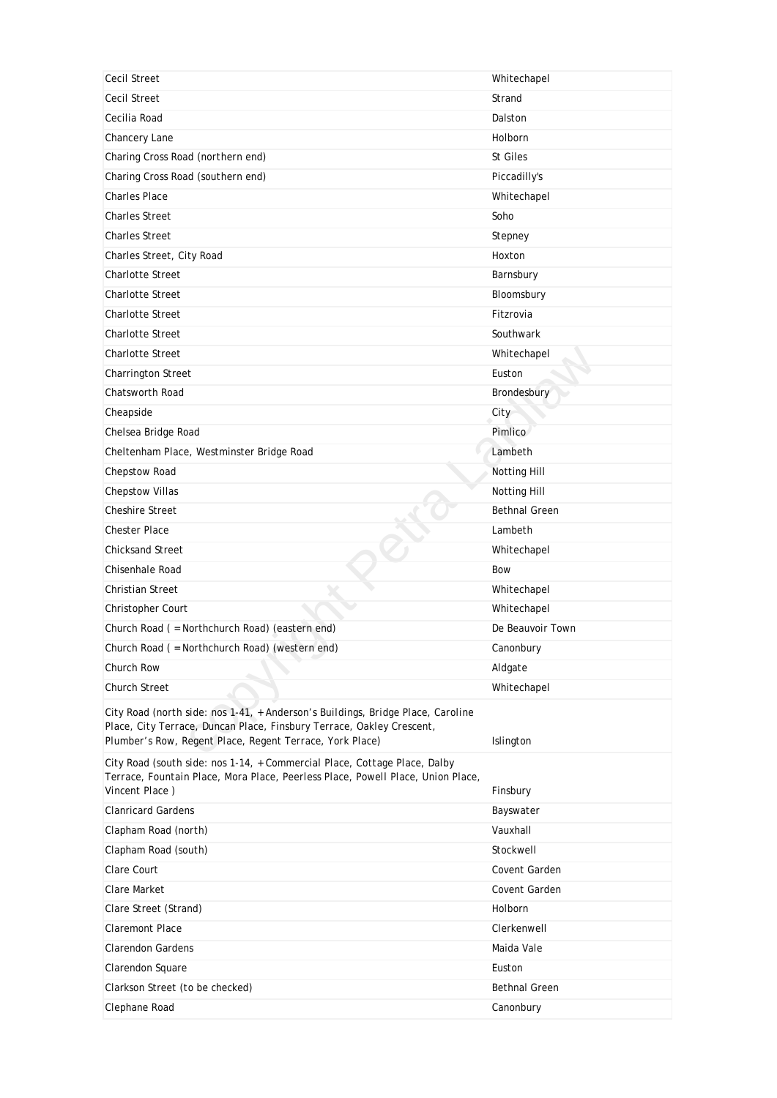| Cecil Street                                                                                                                                                                                                         | Whitechapel                       |
|----------------------------------------------------------------------------------------------------------------------------------------------------------------------------------------------------------------------|-----------------------------------|
| <b>Cecil Street</b>                                                                                                                                                                                                  | Strand                            |
| Cecilia Road                                                                                                                                                                                                         | Dalston                           |
| Chancery Lane                                                                                                                                                                                                        | Holborn                           |
| Charing Cross Road (northern end)                                                                                                                                                                                    | St Giles                          |
| Charing Cross Road (southern end)                                                                                                                                                                                    | Piccadilly's                      |
| <b>Charles Place</b>                                                                                                                                                                                                 | Whitechapel                       |
| <b>Charles Street</b>                                                                                                                                                                                                | Soho                              |
| <b>Charles Street</b>                                                                                                                                                                                                | Stepney                           |
| Charles Street, City Road                                                                                                                                                                                            | Hoxton                            |
| <b>Charlotte Street</b>                                                                                                                                                                                              | Barnsbury                         |
| <b>Charlotte Street</b>                                                                                                                                                                                              | Bloomsbury                        |
| <b>Charlotte Street</b>                                                                                                                                                                                              | Fitzrovia                         |
| <b>Charlotte Street</b>                                                                                                                                                                                              | Southwark                         |
| <b>Charlotte Street</b>                                                                                                                                                                                              | Whitechapel                       |
| Charrington Street                                                                                                                                                                                                   | Euston                            |
| <b>Chatsworth Road</b>                                                                                                                                                                                               | Brondesbury                       |
| Cheapside                                                                                                                                                                                                            | City                              |
| Chelsea Bridge Road                                                                                                                                                                                                  | Pimlico                           |
| Cheltenham Place, Westminster Bridge Road                                                                                                                                                                            | Lambeth                           |
| Chepstow Road                                                                                                                                                                                                        | Notting Hill                      |
| <b>Chepstow Villas</b>                                                                                                                                                                                               | Notting Hill                      |
| <b>Cheshire Street</b>                                                                                                                                                                                               | <b>Bethnal Green</b>              |
| <b>Chester Place</b>                                                                                                                                                                                                 | Lambeth                           |
| <b>Chicksand Street</b>                                                                                                                                                                                              | Whitechapel                       |
| Chisenhale Road                                                                                                                                                                                                      | Bow                               |
| <b>Christian Street</b>                                                                                                                                                                                              | Whitechapel                       |
| Christopher Court                                                                                                                                                                                                    | Whitechapel                       |
| Church Road ( = Northchurch Road) (eastern end)                                                                                                                                                                      | De Beauvoir Town                  |
| Church Road ( = Northchurch Road) (western end)                                                                                                                                                                      | Canonbury                         |
| Church Row                                                                                                                                                                                                           | Aldgate                           |
|                                                                                                                                                                                                                      |                                   |
| <b>Church Street</b>                                                                                                                                                                                                 | Whitechapel                       |
| City Road (north side: nos 1-41, + Anderson's Buildings, Bridge Place, Caroline<br>Place, City Terrace, Duncan Place, Finsbury Terrace, Oakley Crescent,<br>Plumber's Row, Regent Place, Regent Terrace, York Place) | Islington                         |
| City Road (south side: nos 1-14, + Commercial Place, Cottage Place, Dalby<br>Terrace, Fountain Place, Mora Place, Peerless Place, Powell Place, Union Place,<br>Vincent Place)                                       | Finsbury                          |
| <b>Clanricard Gardens</b>                                                                                                                                                                                            |                                   |
|                                                                                                                                                                                                                      | Bayswater<br>Vauxhall             |
| Clapham Road (north)                                                                                                                                                                                                 | Stockwell                         |
| Clapham Road (south)<br>Clare Court                                                                                                                                                                                  |                                   |
| Clare Market                                                                                                                                                                                                         | Covent Garden                     |
|                                                                                                                                                                                                                      | Covent Garden                     |
| Clare Street (Strand)<br><b>Claremont Place</b>                                                                                                                                                                      | Holborn<br>Clerkenwell            |
| <b>Clarendon Gardens</b>                                                                                                                                                                                             | Maida Vale                        |
|                                                                                                                                                                                                                      |                                   |
| Clarendon Square                                                                                                                                                                                                     | Euston                            |
| Clarkson Street (to be checked)<br>Clephane Road                                                                                                                                                                     | <b>Bethnal Green</b><br>Canonbury |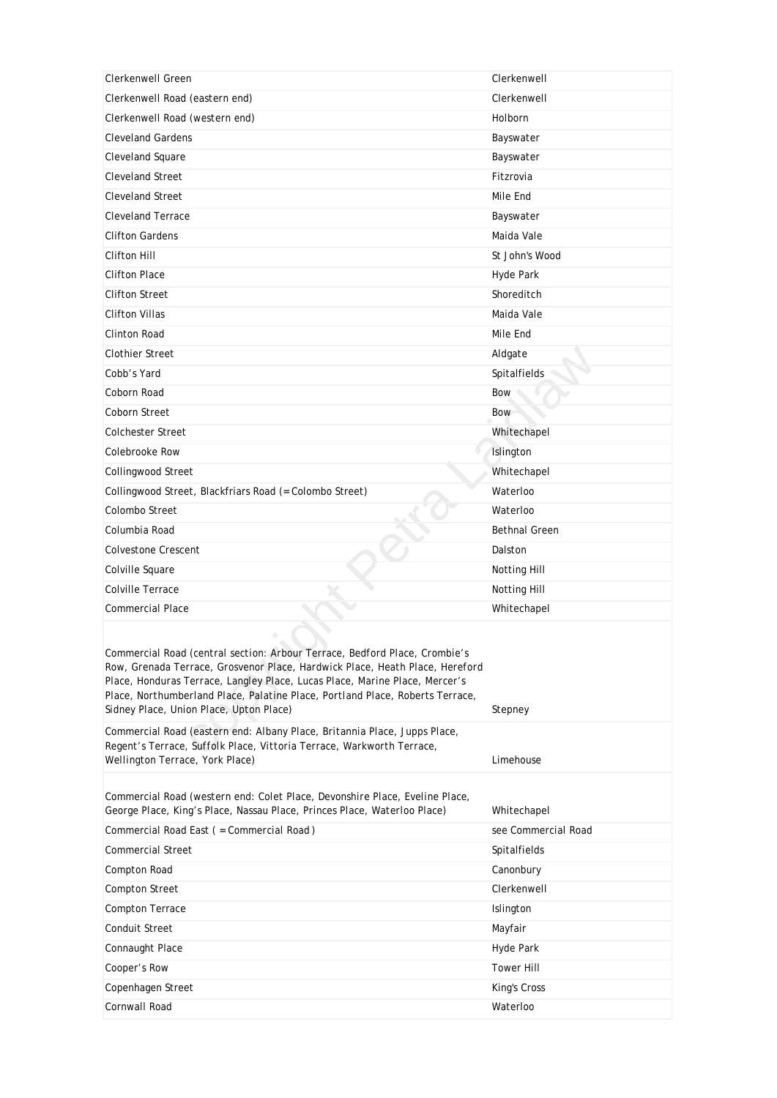| Clerkenwell Green                                                                                                                                                                                                                                                                                                                                                     | Clerkenwell          |
|-----------------------------------------------------------------------------------------------------------------------------------------------------------------------------------------------------------------------------------------------------------------------------------------------------------------------------------------------------------------------|----------------------|
| Clerkenwell Road (eastern end)                                                                                                                                                                                                                                                                                                                                        | Clerkenwell          |
| Clerkenwell Road (western end)                                                                                                                                                                                                                                                                                                                                        | Holborn              |
| <b>Cleveland Gardens</b>                                                                                                                                                                                                                                                                                                                                              | Bayswater            |
| Cleveland Square                                                                                                                                                                                                                                                                                                                                                      | Bayswater            |
| <b>Cleveland Street</b>                                                                                                                                                                                                                                                                                                                                               | Fitzrovia            |
| <b>Cleveland Street</b>                                                                                                                                                                                                                                                                                                                                               | Mile End             |
| <b>Cleveland Terrace</b>                                                                                                                                                                                                                                                                                                                                              | Bayswater            |
| <b>Clifton Gardens</b>                                                                                                                                                                                                                                                                                                                                                | Maida Vale           |
| Clifton Hill                                                                                                                                                                                                                                                                                                                                                          | St John's Wood       |
| <b>Clifton Place</b>                                                                                                                                                                                                                                                                                                                                                  | Hyde Park            |
| <b>Clifton Street</b>                                                                                                                                                                                                                                                                                                                                                 | Shoreditch           |
| <b>Clifton Villas</b>                                                                                                                                                                                                                                                                                                                                                 | Maida Vale           |
| <b>Clinton Road</b>                                                                                                                                                                                                                                                                                                                                                   | Mile End             |
| <b>Clothier Street</b>                                                                                                                                                                                                                                                                                                                                                | Aldgate              |
| Cobb's Yard                                                                                                                                                                                                                                                                                                                                                           | Spitalfields         |
| Coborn Road                                                                                                                                                                                                                                                                                                                                                           | Bow                  |
| Coborn Street                                                                                                                                                                                                                                                                                                                                                         | Bow                  |
| <b>Colchester Street</b>                                                                                                                                                                                                                                                                                                                                              | Whitechapel          |
| Colebrooke Row                                                                                                                                                                                                                                                                                                                                                        | Islington            |
| Collingwood Street                                                                                                                                                                                                                                                                                                                                                    | Whitechapel          |
| Collingwood Street, Blackfriars Road (= Colombo Street)                                                                                                                                                                                                                                                                                                               | Waterloo             |
| Colombo Street                                                                                                                                                                                                                                                                                                                                                        | Waterloo             |
| Columbia Road                                                                                                                                                                                                                                                                                                                                                         | <b>Bethnal Green</b> |
| <b>Colvestone Crescent</b>                                                                                                                                                                                                                                                                                                                                            | Dalston              |
| Colville Square                                                                                                                                                                                                                                                                                                                                                       | Notting Hill         |
| Colville Terrace                                                                                                                                                                                                                                                                                                                                                      | Notting Hill         |
| <b>Commercial Place</b>                                                                                                                                                                                                                                                                                                                                               | Whitechapel          |
|                                                                                                                                                                                                                                                                                                                                                                       |                      |
| Commercial Road (central section: Arbour Terrace, Bedford Place, Crombie's<br>Row, Grenada Terrace, Grosvenor Place, Hardwick Place, Heath Place, Hereford<br>Place, Honduras Terrace, Langley Place, Lucas Place, Marine Place, Mercer's<br>Place, Northumberland Place, Palatine Place, Portland Place, Roberts Terrace,<br>Sidney Place, Union Place, Upton Place) | Stepney              |
| Commercial Road (eastern end: Albany Place, Britannia Place, Jupps Place,<br>Regent's Terrace, Suffolk Place, Vittoria Terrace, Warkworth Terrace,<br>Wellington Terrace, York Place)                                                                                                                                                                                 | Limehouse            |
| Commercial Road (western end: Colet Place, Devonshire Place, Eveline Place,<br>George Place, King's Place, Nassau Place, Princes Place, Waterloo Place)                                                                                                                                                                                                               | Whitechapel          |
| Commercial Road East ( = Commercial Road)                                                                                                                                                                                                                                                                                                                             | see Commercial Road  |
| <b>Commercial Street</b>                                                                                                                                                                                                                                                                                                                                              | Spitalfields         |
| Compton Road                                                                                                                                                                                                                                                                                                                                                          | Canonbury            |
| Compton Street                                                                                                                                                                                                                                                                                                                                                        | Clerkenwell          |
| <b>Compton Terrace</b>                                                                                                                                                                                                                                                                                                                                                | Islington            |
| <b>Conduit Street</b>                                                                                                                                                                                                                                                                                                                                                 | Mayfair              |
| Connaught Place                                                                                                                                                                                                                                                                                                                                                       | Hyde Park            |
| Cooper's Row                                                                                                                                                                                                                                                                                                                                                          | <b>Tower Hill</b>    |
| Copenhagen Street                                                                                                                                                                                                                                                                                                                                                     | King's Cross         |
| Cornwall Road                                                                                                                                                                                                                                                                                                                                                         | Waterloo             |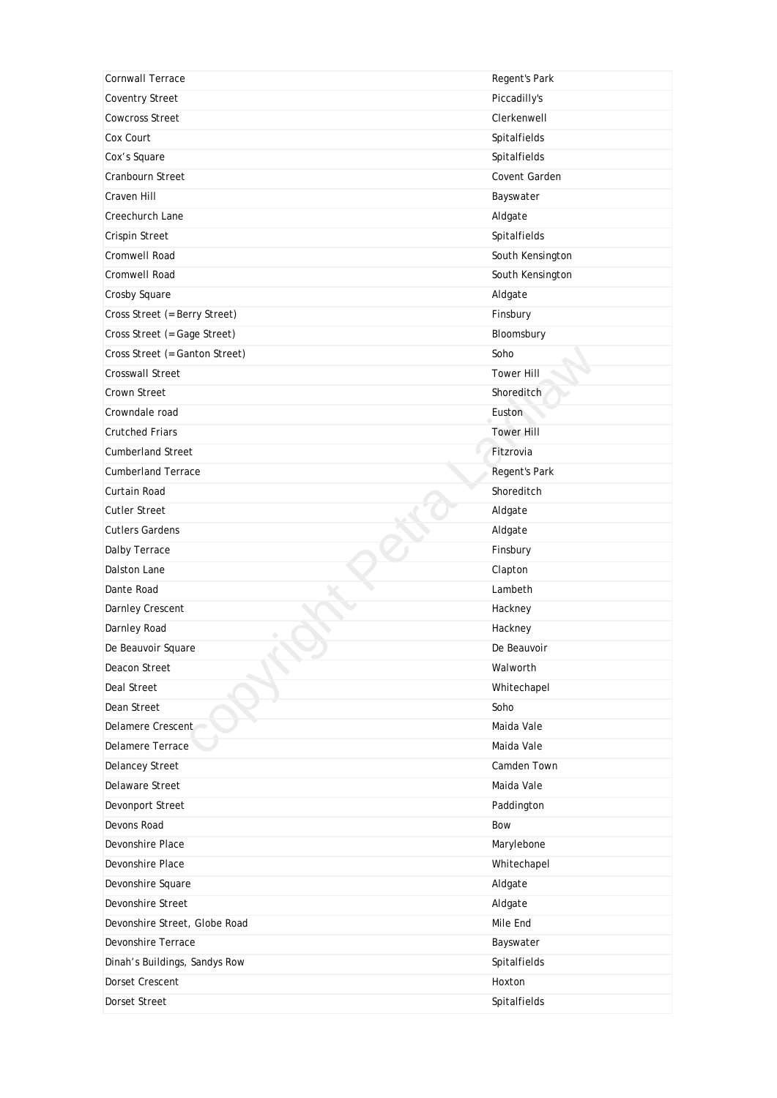| Cornwall Terrace               | Regent's Park     |
|--------------------------------|-------------------|
| <b>Coventry Street</b>         | Piccadilly's      |
| <b>Cowcross Street</b>         | Clerkenwell       |
| Cox Court                      | Spitalfields      |
| Cox's Square                   | Spitalfields      |
| Cranbourn Street               | Covent Garden     |
| Craven Hill                    | Bayswater         |
| Creechurch Lane                | Aldgate           |
| Crispin Street                 | Spitalfields      |
| Cromwell Road                  | South Kensington  |
| Cromwell Road                  | South Kensington  |
| Crosby Square                  | Aldgate           |
| Cross Street (= Berry Street)  | Finsbury          |
| Cross Street (= Gage Street)   | Bloomsbury        |
| Cross Street (= Ganton Street) | Soho              |
| Crosswall Street               | <b>Tower Hill</b> |
| <b>Crown Street</b>            | Shoreditch        |
| Crowndale road                 | Euston            |
| <b>Crutched Friars</b>         | <b>Tower Hill</b> |
| <b>Cumberland Street</b>       | Fitzrovia         |
| <b>Cumberland Terrace</b>      | Regent's Park     |
| Curtain Road                   | Shoreditch        |
| <b>Cutler Street</b>           | Aldgate           |
| <b>Cutlers Gardens</b>         | Aldgate           |
| Dalby Terrace                  | Finsbury          |
| Dalston Lane                   | Clapton           |
| Dante Road                     | Lambeth           |
| Darnley Crescent               | Hackney           |
| Darnley Road                   | Hackney           |
| De Beauvoir Square             | De Beauvoir       |
| Deacon Street                  | Walworth          |
| Deal Street                    | Whitechapel       |
| Dean Street                    | Soho              |
| Delamere Crescent              | Maida Vale        |
| Delamere Terrace               | Maida Vale        |
| <b>Delancey Street</b>         | Camden Town       |
| Delaware Street                | Maida Vale        |
| Devonport Street               | Paddington        |
| Devons Road                    | Bow               |
| Devonshire Place               | Marylebone        |
| Devonshire Place               | Whitechapel       |
| Devonshire Square              | Aldgate           |
| Devonshire Street              | Aldgate           |
| Devonshire Street, Globe Road  | Mile End          |
| Devonshire Terrace             | Bayswater         |
| Dinah's Buildings, Sandys Row  | Spitalfields      |
| Dorset Crescent                | Hoxton            |
| Dorset Street                  | Spitalfields      |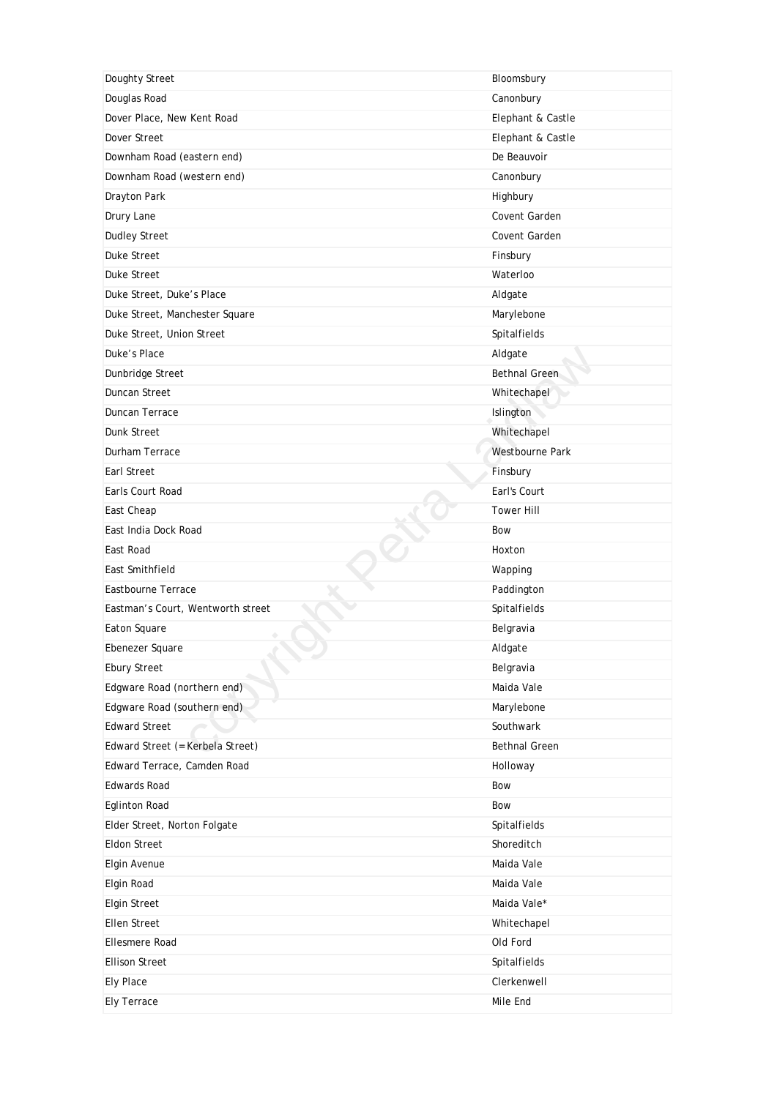| Doughty Street                    | Bloomsbury           |
|-----------------------------------|----------------------|
| Douglas Road                      | Canonbury            |
| Dover Place, New Kent Road        | Elephant & Castle    |
| Dover Street                      | Elephant & Castle    |
| Downham Road (eastern end)        | De Beauvoir          |
| Downham Road (western end)        | Canonbury            |
| Drayton Park                      | Highbury             |
| Drury Lane                        | Covent Garden        |
| <b>Dudley Street</b>              | Covent Garden        |
| <b>Duke Street</b>                | Finsbury             |
| <b>Duke Street</b>                | Waterloo             |
| Duke Street, Duke's Place         | Aldgate              |
| Duke Street, Manchester Square    | Marylebone           |
| Duke Street, Union Street         | Spitalfields         |
| Duke's Place                      | Aldgate              |
| Dunbridge Street                  | <b>Bethnal Green</b> |
| Duncan Street                     | Whitechapel          |
| Duncan Terrace                    | Islington            |
| Dunk Street                       | Whitechapel          |
| Durham Terrace                    | Westbourne Park      |
| Earl Street                       | Finsbury             |
| Earls Court Road                  | Earl's Court         |
| East Cheap                        | <b>Tower Hill</b>    |
| East India Dock Road              | <b>Bow</b>           |
| East Road                         | Hoxton               |
| East Smithfield                   | Wapping              |
| Eastbourne Terrace                | Paddington           |
| Eastman's Court, Wentworth street | Spitalfields         |
| Eaton Square                      | Belgravia            |
| Ebenezer Square                   | Aldgate              |
| <b>Ebury Street</b>               | Belgravia            |
| Edgware Road (northern end)       | Maida Vale           |
| Edgware Road (southern end)       | Marylebone           |
| <b>Edward Street</b>              | Southwark            |
| Edward Street (= Kerbela Street)  | <b>Bethnal Green</b> |
| Edward Terrace, Camden Road       | Holloway             |
| <b>Edwards Road</b>               | Bow                  |
| <b>Eglinton Road</b>              | Bow                  |
| Elder Street, Norton Folgate      | Spitalfields         |
| <b>Eldon Street</b>               | Shoreditch           |
| Elgin Avenue                      | Maida Vale           |
| Elgin Road                        | Maida Vale           |
| <b>Elgin Street</b>               | Maida Vale*          |
| <b>Ellen Street</b>               | Whitechapel          |
| <b>Ellesmere Road</b>             | Old Ford             |
| <b>Ellison Street</b>             | Spitalfields         |
|                                   |                      |
| Ely Place                         | Clerkenwell          |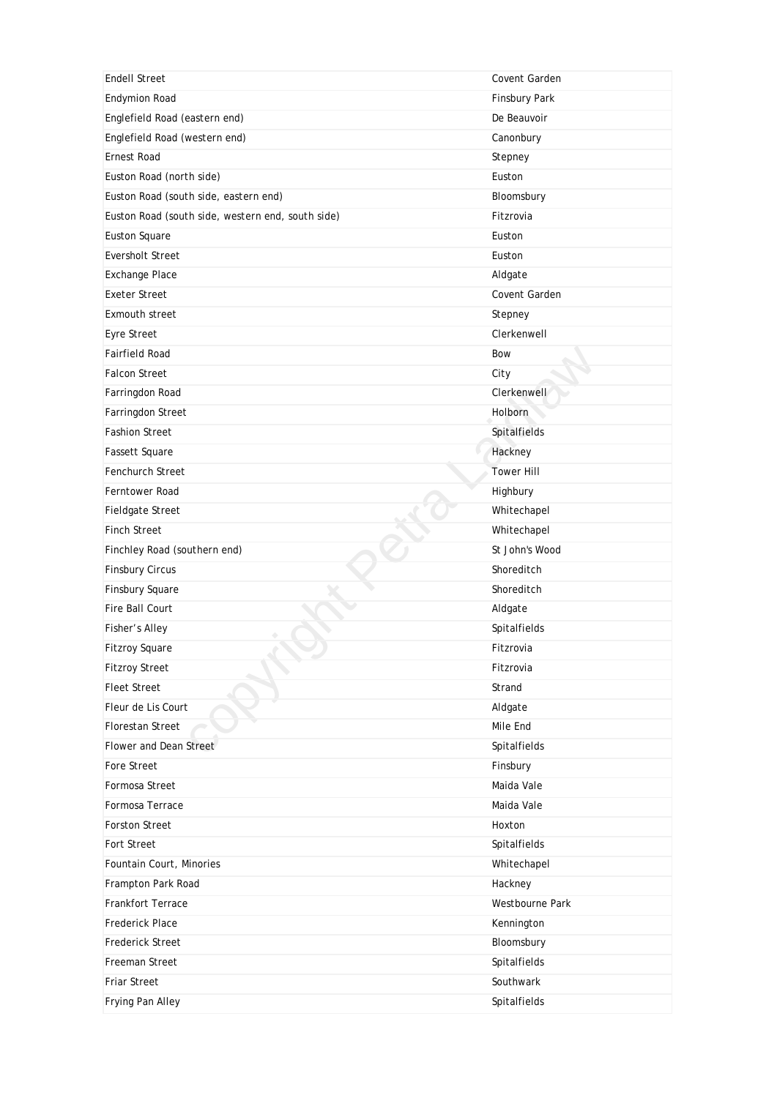| <b>Endell Street</b>                              | Covent Garden          |
|---------------------------------------------------|------------------------|
| <b>Endymion Road</b>                              | Finsbury Park          |
| Englefield Road (eastern end)                     | De Beauvoir            |
| Englefield Road (western end)                     | Canonbury              |
| <b>Ernest Road</b>                                | Stepney                |
| Euston Road (north side)                          | Euston                 |
| Euston Road (south side, eastern end)             | Bloomsbury             |
| Euston Road (south side, western end, south side) | Fitzrovia              |
| <b>Euston Square</b>                              | Euston                 |
| <b>Eversholt Street</b>                           | Euston                 |
| Exchange Place                                    | Aldgate                |
| <b>Exeter Street</b>                              | Covent Garden          |
| <b>Exmouth street</b>                             | Stepney                |
| Eyre Street                                       | Clerkenwell            |
| <b>Fairfield Road</b>                             | Bow                    |
| <b>Falcon Street</b>                              | City                   |
| Farringdon Road                                   | Clerkenwell            |
| Farringdon Street                                 | <b>Holborn</b>         |
| <b>Fashion Street</b>                             | Spitalfields           |
| Fassett Square                                    | Hackney                |
| <b>Fenchurch Street</b>                           | <b>Tower Hill</b>      |
| Ferntower Road                                    | Highbury               |
| Fieldgate Street                                  | Whitechapel            |
| <b>Finch Street</b>                               | Whitechapel            |
| Finchley Road (southern end)                      | St John's Wood         |
| <b>Finsbury Circus</b>                            | Shoreditch             |
| Finsbury Square                                   | Shoreditch             |
| Fire Ball Court                                   | Aldgate                |
| Fisher's Alley                                    | Spitalfields           |
| <b>Fitzroy Square</b>                             | Fitzrovia              |
| <b>Fitzroy Street</b>                             | Fitzrovia              |
| <b>Fleet Street</b>                               | Strand                 |
| Fleur de Lis Court                                | Aldgate                |
| <b>Florestan Street</b>                           | Mile End               |
| Flower and Dean Street                            | Spitalfields           |
| <b>Fore Street</b>                                | Finsbury               |
| Formosa Street                                    | Maida Vale             |
| Formosa Terrace                                   | Maida Vale             |
| <b>Forston Street</b>                             | Hoxton                 |
| <b>Fort Street</b>                                | Spitalfields           |
| Fountain Court, Minories                          | Whitechapel            |
| Frampton Park Road                                | Hackney                |
| <b>Frankfort Terrace</b>                          | <b>Westbourne Park</b> |
| <b>Frederick Place</b>                            | Kennington             |
| <b>Frederick Street</b>                           | Bloomsbury             |
| Freeman Street                                    | Spitalfields           |
| <b>Friar Street</b>                               | Southwark              |
| Frying Pan Alley                                  | Spitalfields           |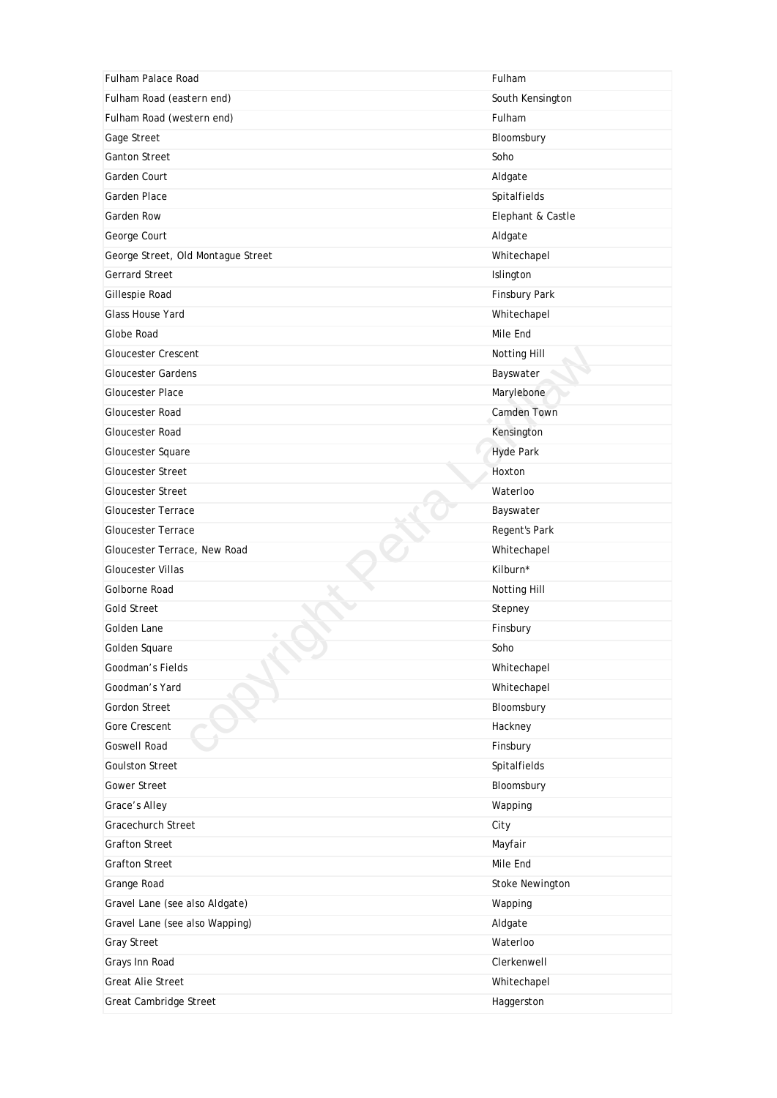| <b>Fulham Palace Road</b>          | Fulham               |
|------------------------------------|----------------------|
| Fulham Road (eastern end)          | South Kensington     |
| Fulham Road (western end)          | Fulham               |
| Gage Street                        | Bloomsbury           |
| <b>Ganton Street</b>               | Soho                 |
| Garden Court                       | Aldgate              |
| Garden Place                       | Spitalfields         |
| Garden Row                         | Elephant & Castle    |
| George Court                       | Aldgate              |
| George Street, Old Montague Street | Whitechapel          |
| <b>Gerrard Street</b>              | Islington            |
| Gillespie Road                     | <b>Finsbury Park</b> |
| Glass House Yard                   | Whitechapel          |
| Globe Road                         | Mile End             |
| <b>Gloucester Crescent</b>         | Notting Hill         |
| <b>Gloucester Gardens</b>          | Bayswater            |
| <b>Gloucester Place</b>            | Marylebone           |
| Gloucester Road                    | Camden Town          |
| Gloucester Road                    | Kensington           |
| Gloucester Square                  | <b>Hyde Park</b>     |
| <b>Gloucester Street</b>           | Hoxton               |
| <b>Gloucester Street</b>           | Waterloo             |
| <b>Gloucester Terrace</b>          | Bayswater            |
| <b>Gloucester Terrace</b>          | Regent's Park        |
| Gloucester Terrace, New Road       | Whitechapel          |
| <b>Gloucester Villas</b>           | Kilburn*             |
| Golborne Road                      | Notting Hill         |
| <b>Gold Street</b>                 | Stepney              |
| Golden Lane                        | Finsbury             |
| Golden Square                      | Soho                 |
| Goodman's Fields                   | Whitechapel          |
| Goodman's Yard                     | Whitechapel          |
| Gordon Street                      | Bloomsbury           |
| Gore Crescent                      | Hackney              |
| <b>Goswell Road</b>                | Finsbury             |
| <b>Goulston Street</b>             | Spitalfields         |
| Gower Street                       | Bloomsbury           |
| Grace's Alley                      | Wapping              |
| <b>Gracechurch Street</b>          |                      |
|                                    | City                 |
| <b>Grafton Street</b>              | Mayfair              |
| <b>Grafton Street</b>              | Mile End             |
| Grange Road                        | Stoke Newington      |
| Gravel Lane (see also Aldgate)     | Wapping              |
| Gravel Lane (see also Wapping)     | Aldgate              |
| <b>Gray Street</b>                 | Waterloo             |
| Grays Inn Road                     | Clerkenwell          |
| <b>Great Alie Street</b>           | Whitechapel          |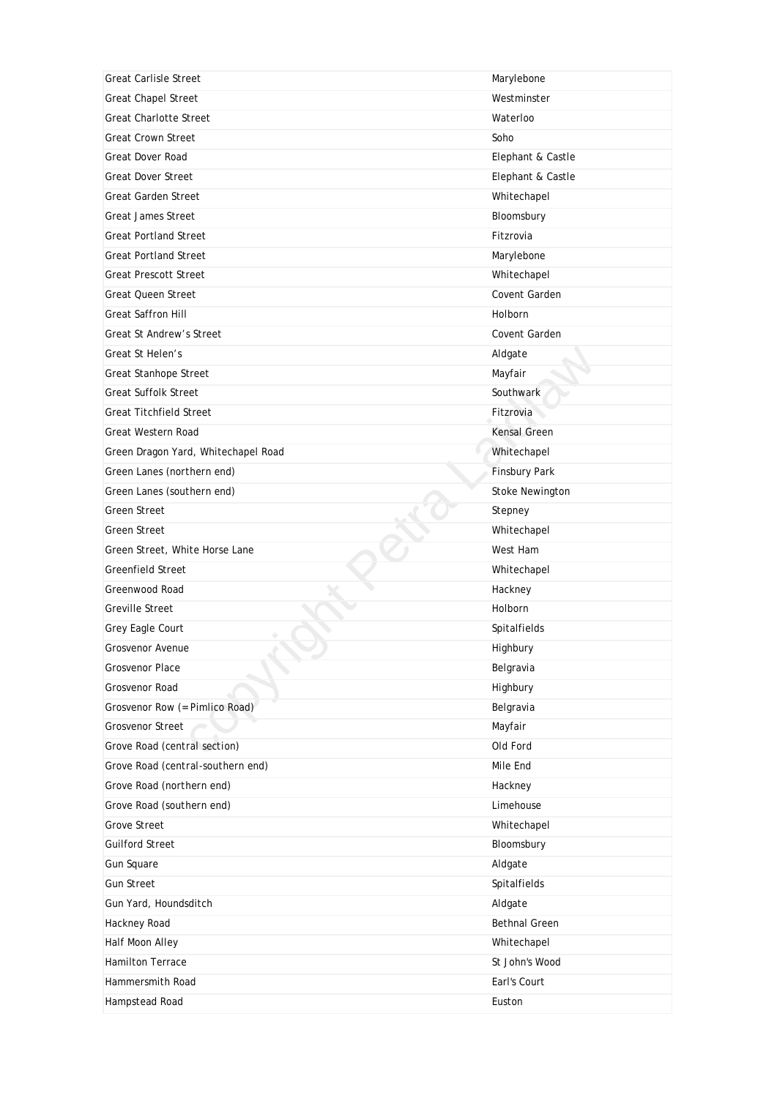| <b>Great Carlisle Street</b>        | Marylebone           |
|-------------------------------------|----------------------|
| <b>Great Chapel Street</b>          | Westminster          |
| <b>Great Charlotte Street</b>       | Waterloo             |
| <b>Great Crown Street</b>           | Soho                 |
| <b>Great Dover Road</b>             | Elephant & Castle    |
| <b>Great Dover Street</b>           | Elephant & Castle    |
| Great Garden Street                 | Whitechapel          |
| <b>Great James Street</b>           | Bloomsbury           |
| <b>Great Portland Street</b>        | Fitzrovia            |
| <b>Great Portland Street</b>        | Marylebone           |
| <b>Great Prescott Street</b>        | Whitechapel          |
| Great Queen Street                  | Covent Garden        |
| <b>Great Saffron Hill</b>           | <b>Holborn</b>       |
| <b>Great St Andrew's Street</b>     | Covent Garden        |
| Great St Helen's                    | Aldgate              |
| Great Stanhope Street               | Mayfair              |
| <b>Great Suffolk Street</b>         | Southwark            |
| <b>Great Titchfield Street</b>      | Fitzrovia            |
| Great Western Road                  | Kensal Green         |
| Green Dragon Yard, Whitechapel Road | Whitechapel          |
| Green Lanes (northern end)          | <b>Finsbury Park</b> |
| Green Lanes (southern end)          | Stoke Newington      |
| <b>Green Street</b>                 | Stepney              |
| <b>Green Street</b>                 | Whitechapel          |
| Green Street, White Horse Lane      | West Ham             |
| <b>Greenfield Street</b>            | Whitechapel          |
| Greenwood Road                      | Hackney              |
| <b>Greville Street</b>              | Holborn              |
| Grey Eagle Court                    | Spitalfields         |
| <b>Grosvenor Avenue</b>             | Highbury             |
| Grosvenor Place                     | Belgravia            |
| Grosvenor Road                      | Highbury             |
| Grosvenor Row (= Pimlico Road)      | Belgravia            |
| Grosvenor Street                    | Mayfair              |
| Grove Road (central section)        | Old Ford             |
| Grove Road (central-southern end)   | Mile End             |
| Grove Road (northern end)           | Hackney              |
| Grove Road (southern end)           | Limehouse            |
| <b>Grove Street</b>                 | Whitechapel          |
| <b>Guilford Street</b>              | Bloomsbury           |
| Gun Square                          | Aldgate              |
| <b>Gun Street</b>                   | Spitalfields         |
| Gun Yard, Houndsditch               | Aldgate              |
| Hackney Road                        | <b>Bethnal Green</b> |
| Half Moon Alley                     | Whitechapel          |
| Hamilton Terrace                    | St John's Wood       |
| Hammersmith Road                    |                      |
|                                     | Earl's Court         |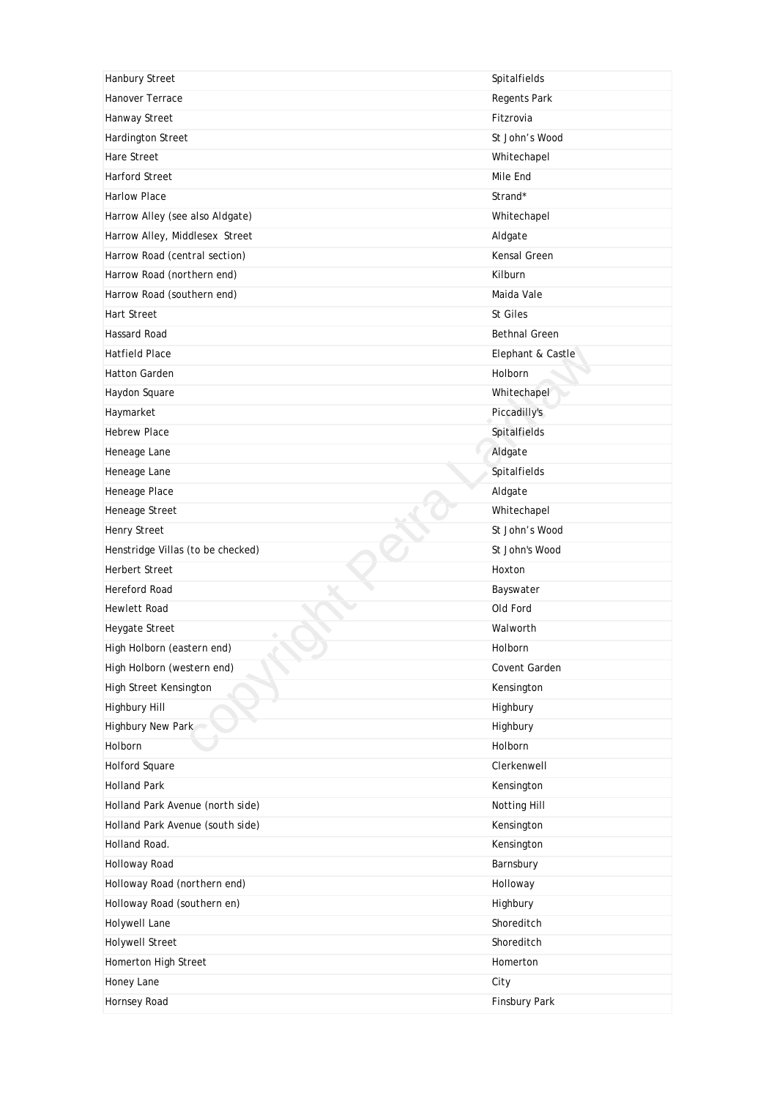| Hanbury Street                    | Spitalfields         |
|-----------------------------------|----------------------|
| Hanover Terrace                   | Regents Park         |
| Hanway Street                     | Fitzrovia            |
| Hardington Street                 | St John's Wood       |
| <b>Hare Street</b>                | Whitechapel          |
| Harford Street                    | Mile End             |
| <b>Harlow Place</b>               | Strand*              |
| Harrow Alley (see also Aldgate)   | Whitechapel          |
| Harrow Alley, Middlesex Street    | Aldgate              |
| Harrow Road (central section)     | Kensal Green         |
| Harrow Road (northern end)        | Kilburn              |
| Harrow Road (southern end)        | Maida Vale           |
| <b>Hart Street</b>                | St Giles             |
| Hassard Road                      | <b>Bethnal Green</b> |
| <b>Hatfield Place</b>             | Elephant & Castle    |
| <b>Hatton Garden</b>              | Holborn              |
| Haydon Square                     | Whitechapel          |
| Haymarket                         | Piccadilly's         |
| <b>Hebrew Place</b>               | Spitalfields         |
| Heneage Lane                      | Aldgate              |
| Heneage Lane                      | Spitalfields         |
| Heneage Place                     | Aldgate              |
| Heneage Street                    | Whitechapel          |
| Henry Street                      | St John's Wood       |
| Henstridge Villas (to be checked) | St John's Wood       |
| <b>Herbert Street</b>             | Hoxton               |
| Hereford Road                     | Bayswater            |
| <b>Hewlett Road</b>               | Old Ford             |
| Heygate Street                    | Walworth             |
| High Holborn (eastern end)        | Holborn              |
| High Holborn (western end)        | Covent Garden        |
| High Street Kensington            | Kensington           |
| Highbury Hill                     | Highbury             |
| Highbury New Park                 | Highbury             |
| Holborn                           | Holborn              |
| <b>Holford Square</b>             | Clerkenwell          |
| <b>Holland Park</b>               | Kensington           |
| Holland Park Avenue (north side)  | Notting Hill         |
| Holland Park Avenue (south side)  | Kensington           |
| Holland Road.                     | Kensington           |
| Holloway Road                     | Barnsbury            |
| Holloway Road (northern end)      | Holloway             |
| Holloway Road (southern en)       | Highbury             |
| Holywell Lane                     | Shoreditch           |
| <b>Holywell Street</b>            | Shoreditch           |
| Homerton High Street              | Homerton             |
| Honey Lane                        | City                 |
| Hornsey Road                      | Finsbury Park        |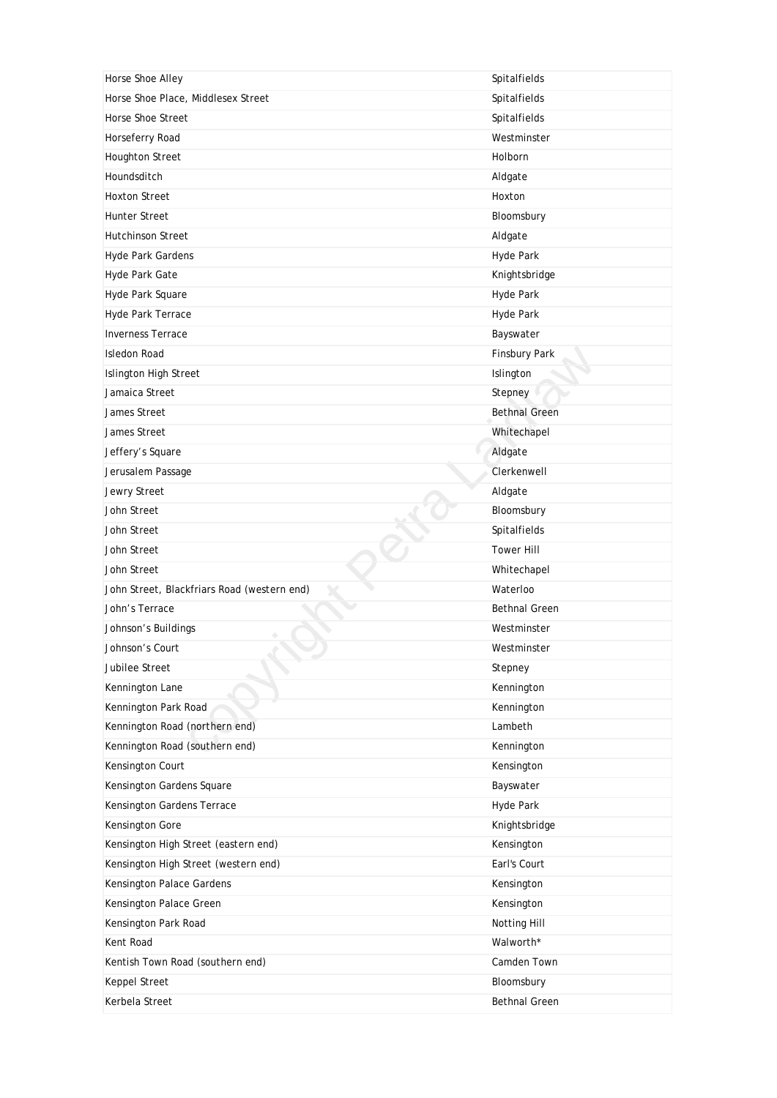| Horse Shoe Alley                            | Spitalfields         |
|---------------------------------------------|----------------------|
| Horse Shoe Place, Middlesex Street          | Spitalfields         |
| Horse Shoe Street                           | Spitalfields         |
| Horseferry Road                             | Westminster          |
| <b>Houghton Street</b>                      | Holborn              |
| Houndsditch                                 | Aldgate              |
| <b>Hoxton Street</b>                        | Hoxton               |
| <b>Hunter Street</b>                        | Bloomsbury           |
| <b>Hutchinson Street</b>                    | Aldgate              |
| Hyde Park Gardens                           | Hyde Park            |
| Hyde Park Gate                              | Knightsbridge        |
| Hyde Park Square                            | Hyde Park            |
| Hyde Park Terrace                           | Hyde Park            |
| <b>Inverness Terrace</b>                    | Bayswater            |
| <b>Isledon Road</b>                         | Finsbury Park        |
| Islington High Street                       | Islington            |
| Jamaica Street                              | Stepney              |
| James Street                                | <b>Bethnal Green</b> |
| James Street                                | Whitechapel          |
| Jeffery's Square                            | Aldgate              |
| Jerusalem Passage                           | Clerkenwell          |
| Jewry Street                                | Aldgate              |
| John Street                                 | Bloomsbury           |
| John Street                                 | Spitalfields         |
| John Street                                 | <b>Tower Hill</b>    |
| John Street                                 | Whitechapel          |
| John Street, Blackfriars Road (western end) | Waterloo             |
| John's Terrace                              | <b>Bethnal Green</b> |
| Johnson's Buildings                         | Westminster          |
| Johnson's Court                             | Westminster          |
| Jubilee Street                              | Stepney              |
| Kennington Lane                             | Kennington           |
| Kennington Park Road                        | Kennington           |
| Kennington Road (northern end)              | Lambeth              |
| Kennington Road (southern end)              | Kennington           |
| Kensington Court                            | Kensington           |
| Kensington Gardens Square                   | Bayswater            |
| Kensington Gardens Terrace                  | Hyde Park            |
| Kensington Gore                             | Knightsbridge        |
| Kensington High Street (eastern end)        | Kensington           |
|                                             |                      |
| Kensington High Street (western end)        | Earl's Court         |
| Kensington Palace Gardens                   | Kensington           |
| Kensington Palace Green                     | Kensington           |
| Kensington Park Road                        | Notting Hill         |
| Kent Road                                   | Walworth*            |
| Kentish Town Road (southern end)            | Camden Town          |
| Keppel Street                               | Bloomsbury           |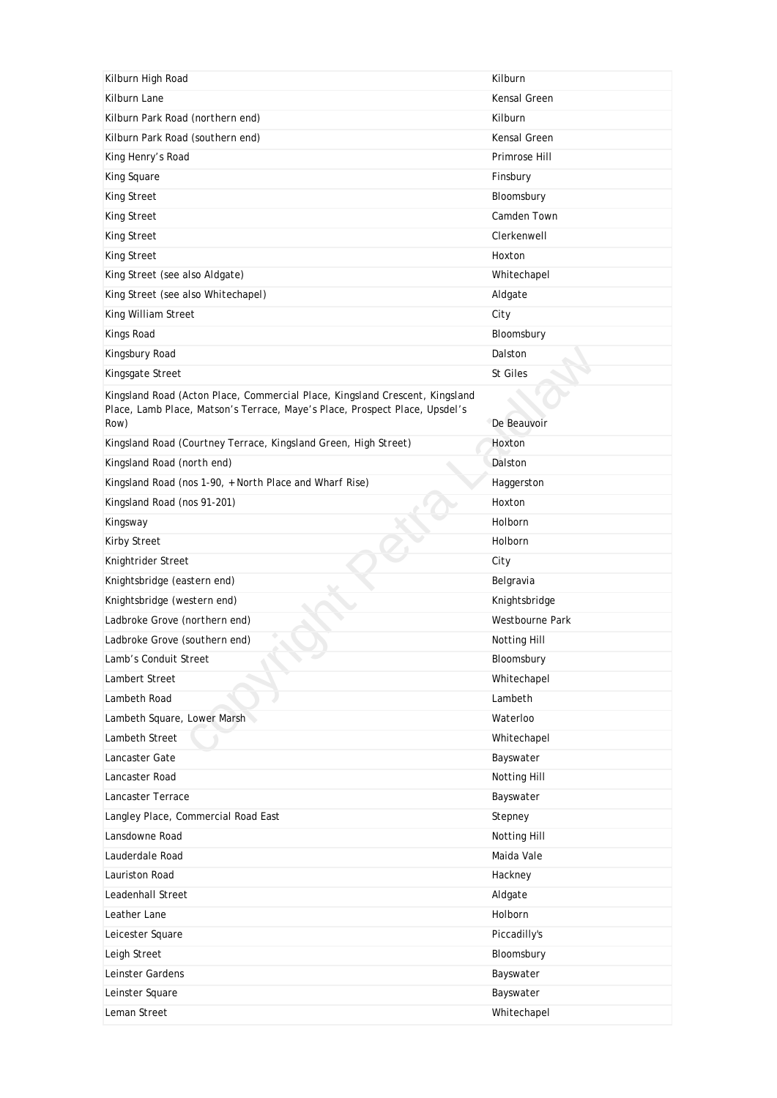| Kilburn High Road                                                                                                                                           | Kilburn         |
|-------------------------------------------------------------------------------------------------------------------------------------------------------------|-----------------|
| Kilburn Lane                                                                                                                                                | Kensal Green    |
| Kilburn Park Road (northern end)                                                                                                                            | Kilburn         |
| Kilburn Park Road (southern end)                                                                                                                            | Kensal Green    |
| King Henry's Road                                                                                                                                           | Primrose Hill   |
| King Square                                                                                                                                                 | Finsbury        |
| King Street                                                                                                                                                 | Bloomsbury      |
| King Street                                                                                                                                                 | Camden Town     |
| King Street                                                                                                                                                 | Clerkenwell     |
| King Street                                                                                                                                                 | Hoxton          |
| King Street (see also Aldgate)                                                                                                                              | Whitechapel     |
| King Street (see also Whitechapel)                                                                                                                          | Aldgate         |
| King William Street                                                                                                                                         | City            |
| Kings Road                                                                                                                                                  | Bloomsbury      |
| Kingsbury Road                                                                                                                                              | Dalston         |
| Kingsgate Street                                                                                                                                            | St Giles        |
| Kingsland Road (Acton Place, Commercial Place, Kingsland Crescent, Kingsland<br>Place, Lamb Place, Matson's Terrace, Maye's Place, Prospect Place, Upsdel's |                 |
| Row)                                                                                                                                                        | De Beauvoir     |
| Kingsland Road (Courtney Terrace, Kingsland Green, High Street)                                                                                             | Hoxton          |
| Kingsland Road (north end)                                                                                                                                  | Dalston         |
| Kingsland Road (nos 1-90, + North Place and Wharf Rise)                                                                                                     | Haggerston      |
| Kingsland Road (nos 91-201)                                                                                                                                 | Hoxton          |
| Kingsway                                                                                                                                                    | Holborn         |
| <b>Kirby Street</b>                                                                                                                                         | Holborn         |
| Knightrider Street                                                                                                                                          | City            |
| Knightsbridge (eastern end)                                                                                                                                 | Belgravia       |
| Knightsbridge (western end)                                                                                                                                 | Knightsbridge   |
| Ladbroke Grove (northern end)                                                                                                                               | Westbourne Park |
| Ladbroke Grove (southern end)                                                                                                                               | Notting Hill    |
| Lamb's Conduit Street<br>÷,                                                                                                                                 | Bloomsbury      |
| Lambert Street                                                                                                                                              | Whitechapel     |
| Lambeth Road                                                                                                                                                | Lambeth         |
| Lambeth Square, Lower Marsh                                                                                                                                 | Waterloo        |
| Lambeth Street                                                                                                                                              | Whitechapel     |
| Lancaster Gate                                                                                                                                              | Bayswater       |
| Lancaster Road                                                                                                                                              | Notting Hill    |
| Lancaster Terrace                                                                                                                                           | Bayswater       |
| Langley Place, Commercial Road East                                                                                                                         | Stepney         |
| Lansdowne Road                                                                                                                                              | Notting Hill    |
| Lauderdale Road                                                                                                                                             | Maida Vale      |
| Lauriston Road                                                                                                                                              | Hackney         |
| Leadenhall Street                                                                                                                                           | Aldgate         |
| Leather Lane                                                                                                                                                | Holborn         |
| Leicester Square                                                                                                                                            | Piccadilly's    |
| Leigh Street                                                                                                                                                | Bloomsbury      |
| Leinster Gardens                                                                                                                                            | Bayswater       |
| Leinster Square                                                                                                                                             | Bayswater       |
| Leman Street                                                                                                                                                | Whitechapel     |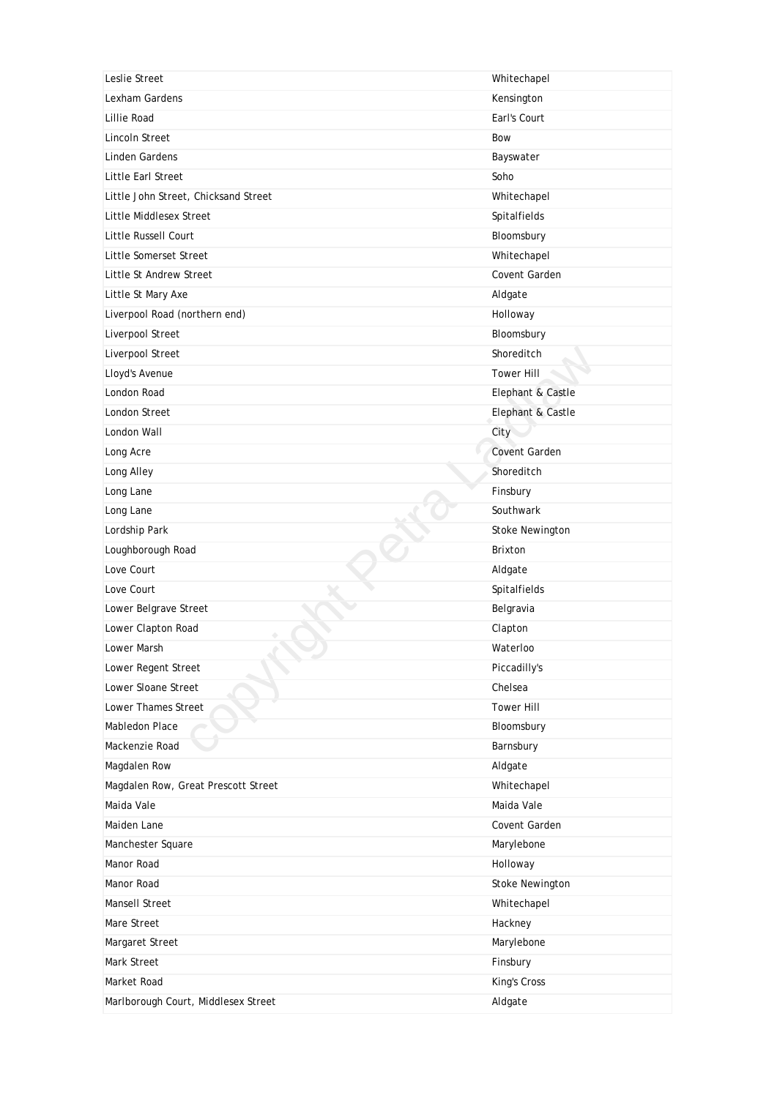| Leslie Street                        | Whitechapel          |
|--------------------------------------|----------------------|
| Lexham Gardens                       | Kensington           |
| Lillie Road                          | Earl's Court         |
| <b>Lincoln Street</b>                | Bow                  |
| <b>Linden Gardens</b>                | Bayswater            |
| Little Earl Street                   | Soho                 |
| Little John Street, Chicksand Street | Whitechapel          |
| <b>Little Middlesex Street</b>       | Spitalfields         |
| Little Russell Court                 | Bloomsbury           |
| Little Somerset Street               | Whitechapel          |
| Little St Andrew Street              | Covent Garden        |
| Little St Mary Axe                   | Aldgate              |
| Liverpool Road (northern end)        | Holloway             |
| Liverpool Street                     | Bloomsbury           |
| Liverpool Street                     | Shoreditch           |
| Lloyd's Avenue                       | <b>Tower Hill</b>    |
| London Road                          | Elephant & Castle    |
| London Street                        | Elephant & Castle    |
| London Wall                          | City                 |
| Long Acre                            | <b>Covent Garden</b> |
| Long Alley                           | Shoreditch           |
| Long Lane                            | Finsbury             |
| Long Lane                            | Southwark            |
| Lordship Park                        | Stoke Newington      |
| Loughborough Road                    | <b>Brixton</b>       |
| Love Court                           | Aldgate              |
| Love Court                           | Spitalfields         |
| Lower Belgrave Street                | Belgravia            |
| Lower Clapton Road                   | Clapton              |
| Lower Marsh                          | Waterloo             |
| Lower Regent Street                  | Piccadilly's         |
| Lower Sloane Street                  | Chelsea              |
| Lower Thames Street                  | <b>Tower Hill</b>    |
| Mabledon Place                       | Bloomsbury           |
| Mackenzie Road                       | Barnsbury            |
| Magdalen Row                         | Aldgate              |
| Magdalen Row, Great Prescott Street  | Whitechapel          |
| Maida Vale                           | Maida Vale           |
| Maiden Lane                          | Covent Garden        |
| Manchester Square                    | Marylebone           |
| Manor Road                           | Holloway             |
| Manor Road                           | Stoke Newington      |
| Mansell Street                       | Whitechapel          |
| Mare Street                          | Hackney              |
| Margaret Street                      | Marylebone           |
| Mark Street                          | Finsbury             |
| Market Road                          | King's Cross         |
| Marlborough Court, Middlesex Street  | Aldgate              |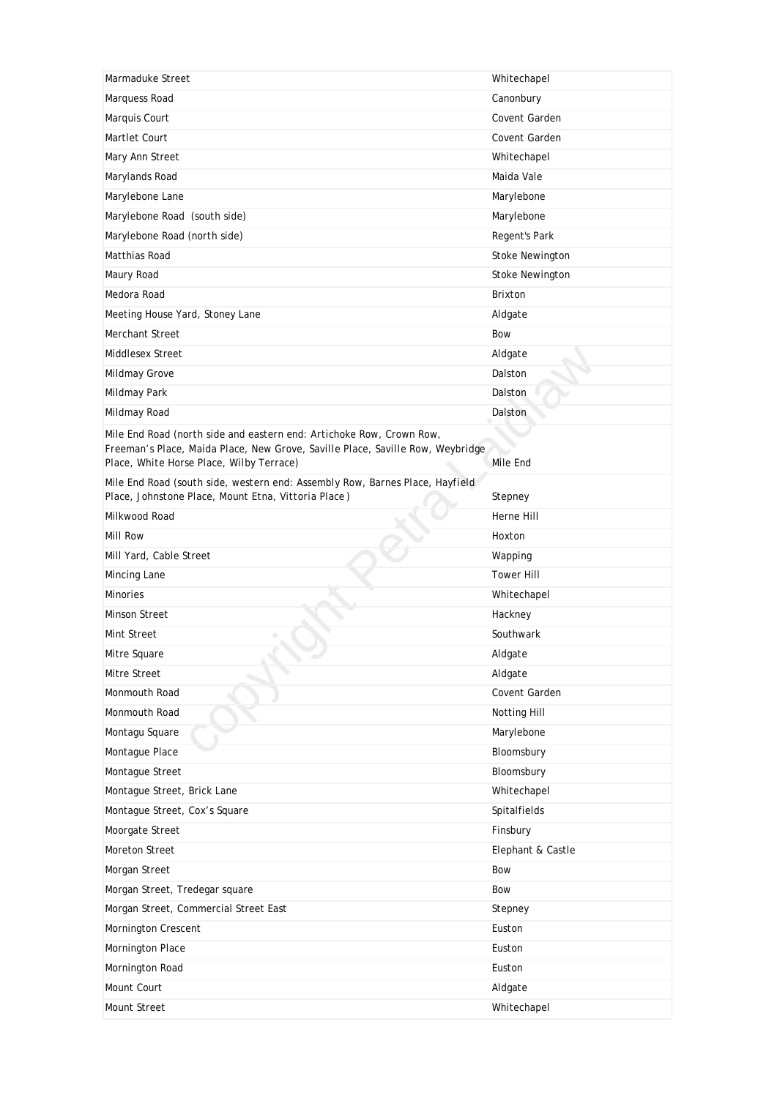| Marmaduke Street                                                                                                           | Whitechapel            |
|----------------------------------------------------------------------------------------------------------------------------|------------------------|
| Marquess Road                                                                                                              | Canonbury              |
| Marquis Court                                                                                                              | Covent Garden          |
| Martlet Court                                                                                                              | Covent Garden          |
| Mary Ann Street                                                                                                            | Whitechapel            |
| Marylands Road                                                                                                             | Maida Vale             |
| Marylebone Lane                                                                                                            | Marylebone             |
| Marylebone Road (south side)                                                                                               | Marylebone             |
| Marylebone Road (north side)                                                                                               | Regent's Park          |
| Matthias Road                                                                                                              | <b>Stoke Newington</b> |
| Maury Road                                                                                                                 | <b>Stoke Newington</b> |
| Medora Road                                                                                                                | <b>Brixton</b>         |
| Meeting House Yard, Stoney Lane                                                                                            | Aldgate                |
| Merchant Street                                                                                                            | <b>Bow</b>             |
| <b>Middlesex Street</b>                                                                                                    | Aldgate                |
| Mildmay Grove                                                                                                              | Dalston                |
| Mildmay Park                                                                                                               | Dalston                |
| Mildmay Road                                                                                                               | Dalston                |
| Mile End Road (north side and eastern end: Artichoke Row, Crown Row,                                                       |                        |
| Freeman's Place, Maida Place, New Grove, Saville Place, Saville Row, Weybridge<br>Place, White Horse Place, Wilby Terrace) | Mile End               |
| Mile End Road (south side, western end: Assembly Row, Barnes Place, Hayfield                                               |                        |
| Place, Johnstone Place, Mount Etna, Vittoria Place)                                                                        | Stepney                |
| Milkwood Road                                                                                                              | Herne Hill             |
| Mill Row                                                                                                                   | Hoxton                 |
| Mill Yard, Cable Street                                                                                                    | Wapping                |
| Mincing Lane                                                                                                               | <b>Tower Hill</b>      |
| <b>Minories</b>                                                                                                            | Whitechapel            |
| <b>Minson Street</b>                                                                                                       | Hackney                |
| Mint Street                                                                                                                | Southwark              |
| Mitre Square                                                                                                               | Aldgate                |
| Mitre Street                                                                                                               | Aldgate                |
| Monmouth Road                                                                                                              | Covent Garden          |
| Monmouth Road                                                                                                              | Notting Hill           |
| Montagu Square                                                                                                             | Marylebone             |
| Montague Place                                                                                                             | Bloomsbury             |
| Montague Street                                                                                                            | Bloomsbury             |
| Montague Street, Brick Lane                                                                                                | Whitechapel            |
| Montague Street, Cox's Square                                                                                              | Spitalfields           |
| Moorgate Street                                                                                                            | Finsbury               |
| Moreton Street                                                                                                             | Elephant & Castle      |
| Morgan Street                                                                                                              | Bow                    |
| Morgan Street, Tredegar square                                                                                             | Bow                    |
| Morgan Street, Commercial Street East                                                                                      | Stepney                |
| Mornington Crescent                                                                                                        | Euston                 |
| Mornington Place                                                                                                           | Euston                 |
| Mornington Road                                                                                                            | Euston                 |
| Mount Court                                                                                                                | Aldgate                |
| Mount Street                                                                                                               | Whitechapel            |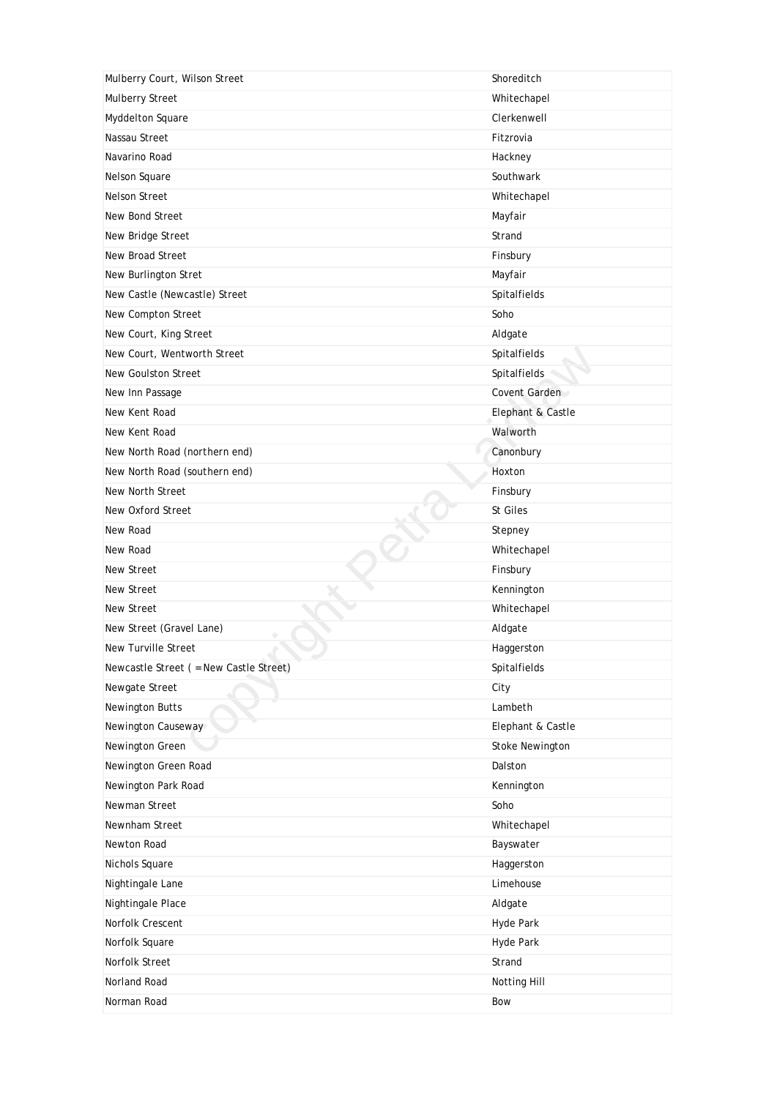| Mulberry Court, Wilson Street           | Shoreditch             |
|-----------------------------------------|------------------------|
| Mulberry Street                         | Whitechapel            |
| Myddelton Square                        | Clerkenwell            |
| Nassau Street                           | Fitzrovia              |
| Navarino Road                           | Hackney                |
| Nelson Square                           | Southwark              |
| Nelson Street                           | Whitechapel            |
| New Bond Street                         | Mayfair                |
| New Bridge Street                       | Strand                 |
| New Broad Street                        | Finsbury               |
| New Burlington Stret                    | Mayfair                |
| New Castle (Newcastle) Street           | Spitalfields           |
| New Compton Street                      | Soho                   |
| New Court, King Street                  | Aldgate                |
| New Court, Wentworth Street             | Spitalfields           |
| New Goulston Street                     | Spitalfields           |
| New Inn Passage                         | Covent Garden          |
| New Kent Road                           | Elephant & Castle      |
| New Kent Road                           | Walworth               |
| New North Road (northern end)           | Canonbury              |
| New North Road (southern end)           | Hoxton                 |
| New North Street                        | Finsbury               |
| New Oxford Street                       | St Giles               |
| New Road                                | Stepney                |
| New Road                                | Whitechapel            |
| New Street                              | Finsbury               |
| New Street                              | Kennington             |
| New Street                              | Whitechapel            |
| New Street (Gravel Lane)                | Aldgate                |
| New Turville Street                     | Haggerston             |
| Newcastle Street ( = New Castle Street) | Spitalfields           |
| Newgate Street                          | City                   |
| Newington Butts                         | Lambeth                |
| Newington Causeway                      | Elephant & Castle      |
| Newington Green                         | <b>Stoke Newington</b> |
| Newington Green Road                    | Dalston                |
| Newington Park Road                     | Kennington             |
| Newman Street                           | Soho                   |
| Newnham Street                          | Whitechapel            |
| Newton Road                             | Bayswater              |
| Nichols Square                          | Haggerston             |
| Nightingale Lane                        | Limehouse              |
| Nightingale Place                       | Aldgate                |
| Norfolk Crescent                        | Hyde Park              |
| Norfolk Square                          | Hyde Park              |
| Norfolk Street                          |                        |
|                                         | Strand                 |
| Norland Road                            | Notting Hill           |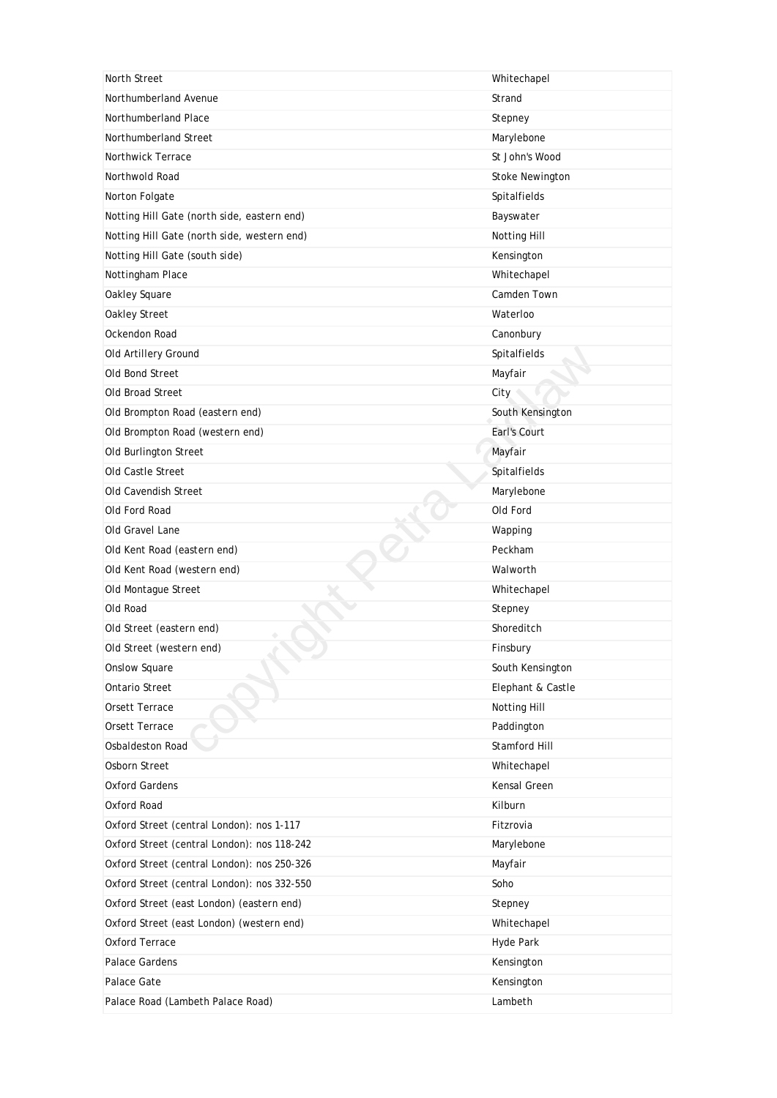| North Street                                | Whitechapel            |
|---------------------------------------------|------------------------|
| Northumberland Avenue                       | Strand                 |
| Northumberland Place                        | Stepney                |
| Northumberland Street                       | Marylebone             |
| <b>Northwick Terrace</b>                    | St John's Wood         |
| Northwold Road                              | <b>Stoke Newington</b> |
| Norton Folgate                              | <b>Spitalfields</b>    |
| Notting Hill Gate (north side, eastern end) | Bayswater              |
| Notting Hill Gate (north side, western end) | Notting Hill           |
| Notting Hill Gate (south side)              | Kensington             |
| Nottingham Place                            | Whitechapel            |
| Oakley Square                               | Camden Town            |
| Oakley Street                               | Waterloo               |
| Ockendon Road                               | Canonbury              |
| Old Artillery Ground                        | Spitalfields           |
| Old Bond Street                             | Mayfair                |
| Old Broad Street                            | City                   |
| Old Brompton Road (eastern end)             | South Kensington       |
| Old Brompton Road (western end)             | Earl's Court           |
| Old Burlington Street                       | Mayfair                |
| Old Castle Street                           | Spitalfields           |
| Old Cavendish Street                        | Marylebone             |
| Old Ford Road                               | Old Ford               |
| Old Gravel Lane                             | Wapping                |
| Old Kent Road (eastern end)                 | Peckham                |
| Old Kent Road (western end)                 | Walworth               |
| Old Montague Street                         | Whitechapel            |
| Old Road                                    | Stepney                |
| Old Street (eastern end)                    | Shoreditch             |
| Old Street (western end)                    | Finsbury               |
| <b>Onslow Square</b>                        | South Kensington       |
| Ontario Street                              | Elephant & Castle      |
| Orsett Terrace                              | Notting Hill           |
| Orsett Terrace                              | Paddington             |
| Osbaldeston Road                            | Stamford Hill          |
| Osborn Street                               | Whitechapel            |
| <b>Oxford Gardens</b>                       | Kensal Green           |
| Oxford Road                                 | Kilburn                |
| Oxford Street (central London): nos 1-117   | Fitzrovia              |
| Oxford Street (central London): nos 118-242 | Marylebone             |
| Oxford Street (central London): nos 250-326 | Mayfair                |
| Oxford Street (central London): nos 332-550 | Soho                   |
| Oxford Street (east London) (eastern end)   | Stepney                |
| Oxford Street (east London) (western end)   | Whitechapel            |
| Oxford Terrace                              | Hyde Park              |
| Palace Gardens                              | Kensington             |
| Palace Gate                                 | Kensington             |
| Palace Road (Lambeth Palace Road)           | Lambeth                |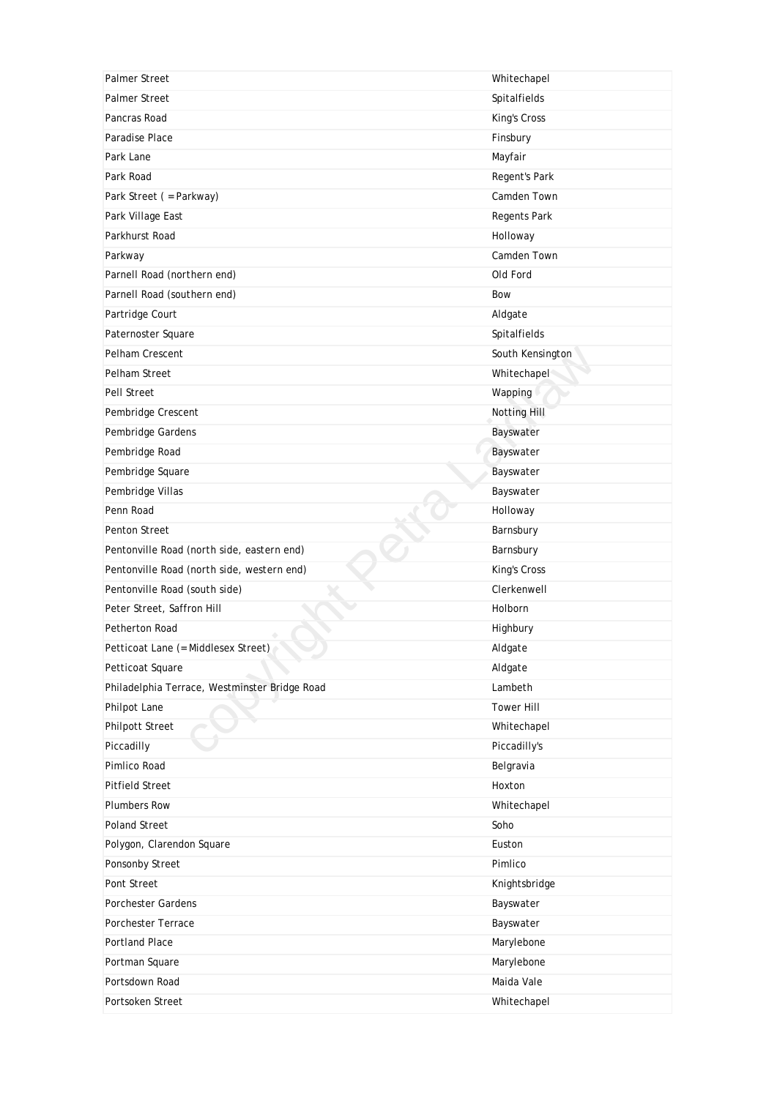| <b>Palmer Street</b>                          | Whitechapel         |
|-----------------------------------------------|---------------------|
| <b>Palmer Street</b>                          | Spitalfields        |
| Pancras Road                                  | King's Cross        |
| Paradise Place                                | Finsbury            |
| Park Lane                                     | Mayfair             |
| Park Road                                     | Regent's Park       |
| Park Street ( = Parkway)                      | Camden Town         |
| Park Village East                             | Regents Park        |
| Parkhurst Road                                | Holloway            |
| Parkway                                       | Camden Town         |
| Parnell Road (northern end)                   | Old Ford            |
| Parnell Road (southern end)                   | Bow                 |
| Partridge Court                               | Aldgate             |
| Paternoster Square                            | Spitalfields        |
| Pelham Crescent                               | South Kensington    |
| Pelham Street                                 | Whitechapel         |
| Pell Street                                   | Wapping             |
| Pembridge Crescent                            | <b>Notting Hill</b> |
| Pembridge Gardens                             | Bayswater           |
| Pembridge Road                                | Bayswater           |
| Pembridge Square                              | Bayswater           |
| Pembridge Villas                              | Bayswater           |
| Penn Road                                     | Holloway            |
| Penton Street                                 | Barnsbury           |
| Pentonville Road (north side, eastern end)    | Barnsbury           |
| Pentonville Road (north side, western end)    | King's Cross        |
| Pentonville Road (south side)                 | Clerkenwell         |
| Peter Street, Saffron Hill                    | Holborn             |
| Petherton Road                                | Highbury            |
| Petticoat Lane (= Middlesex Street)           | Aldgate             |
| Petticoat Square                              | Aldgate             |
| Philadelphia Terrace, Westminster Bridge Road | Lambeth             |
| Philpot Lane                                  | <b>Tower Hill</b>   |
| Philpott Street                               | Whitechapel         |
| Piccadilly                                    | Piccadilly's        |
| Pimlico Road                                  | Belgravia           |
| <b>Pitfield Street</b>                        | Hoxton              |
| <b>Plumbers Row</b>                           | Whitechapel         |
| Poland Street                                 | Soho                |
| Polygon, Clarendon Square                     | Euston              |
| Ponsonby Street                               | Pimlico             |
| Pont Street                                   | Knightsbridge       |
| Porchester Gardens                            | Bayswater           |
| Porchester Terrace                            | Bayswater           |
| <b>Portland Place</b>                         | Marylebone          |
| Portman Square                                | Marylebone          |
| Portsdown Road                                | Maida Vale          |
| Portsoken Street                              | Whitechapel         |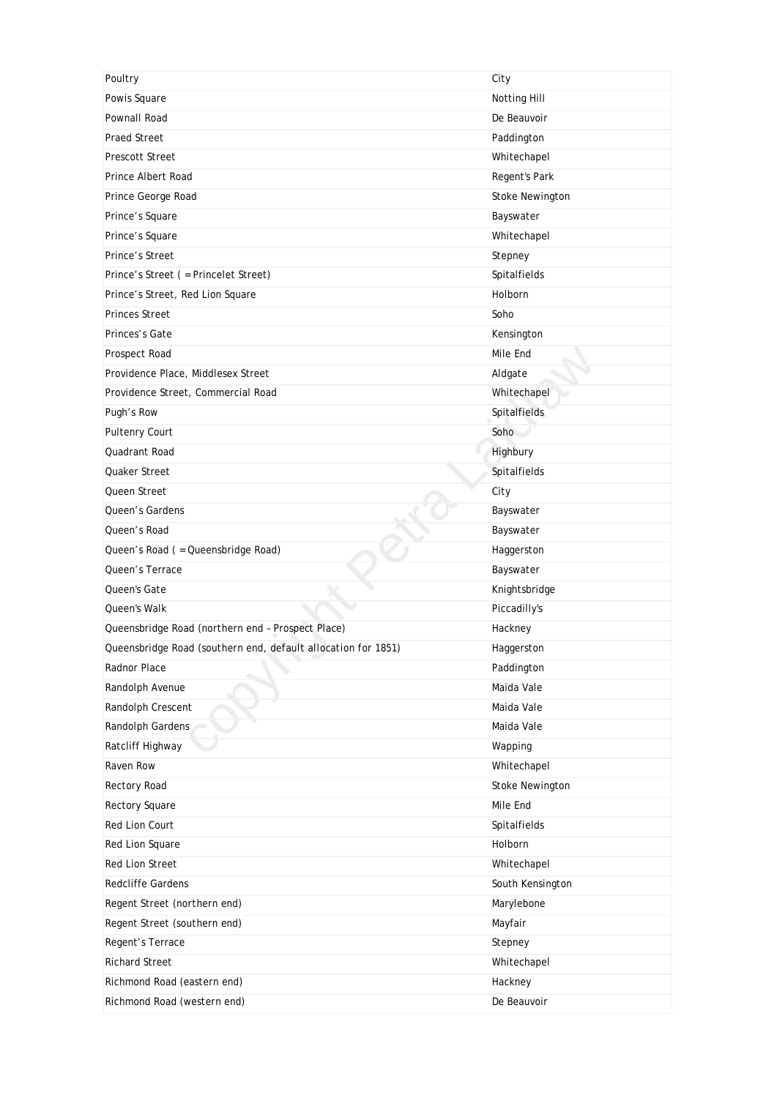| Poultry                                                       | City                   |
|---------------------------------------------------------------|------------------------|
| Powis Square                                                  | Notting Hill           |
| Pownall Road                                                  | De Beauvoir            |
| <b>Praed Street</b>                                           | Paddington             |
| <b>Prescott Street</b>                                        | Whitechapel            |
| Prince Albert Road                                            | Regent's Park          |
| Prince George Road                                            | Stoke Newington        |
| Prince's Square                                               | Bayswater              |
| Prince's Square                                               | Whitechapel            |
| Prince's Street                                               | Stepney                |
| Prince's Street ( = Princelet Street)                         | Spitalfields           |
| Prince's Street, Red Lion Square                              | Holborn                |
| <b>Princes Street</b>                                         | Soho                   |
| Princes's Gate                                                | Kensington             |
| Prospect Road                                                 | Mile End               |
| Providence Place, Middlesex Street                            | Aldgate                |
| Providence Street, Commercial Road                            | Whitechapel            |
| Pugh's Row                                                    | Spitalfields           |
| Pultenry Court                                                | Soho                   |
| Quadrant Road                                                 | Highbury               |
| Quaker Street                                                 | Spitalfields           |
| Queen Street                                                  | City                   |
| Queen's Gardens                                               | Bayswater              |
| Queen's Road                                                  | Bayswater              |
| Queen's Road ( = Queensbridge Road)                           | Haggerston             |
| Queen's Terrace                                               | Bayswater              |
| Queen's Gate                                                  | Knightsbridge          |
| Queen's Walk                                                  | Piccadilly's           |
| Queensbridge Road (northern end - Prospect Place)             | Hackney                |
| Queensbridge Road (southern end, default allocation for 1851) | Haggerston             |
| Radnor Place                                                  | Paddington             |
| Randolph Avenue                                               | Maida Vale             |
| Randolph Crescent                                             | Maida Vale             |
| Randolph Gardens                                              | Maida Vale             |
| Ratcliff Highway                                              | Wapping                |
| Raven Row                                                     | Whitechapel            |
| Rectory Road                                                  | <b>Stoke Newington</b> |
| Rectory Square                                                | Mile End               |
| Red Lion Court                                                | Spitalfields           |
| Red Lion Square                                               | Holborn                |
| Red Lion Street                                               | Whitechapel            |
| <b>Redcliffe Gardens</b>                                      | South Kensington       |
| Regent Street (northern end)                                  | Marylebone             |
| Regent Street (southern end)                                  | Mayfair                |
| Regent's Terrace                                              | Stepney                |
| <b>Richard Street</b>                                         | Whitechapel            |
| Richmond Road (eastern end)                                   | Hackney                |
| Richmond Road (western end)                                   | De Beauvoir            |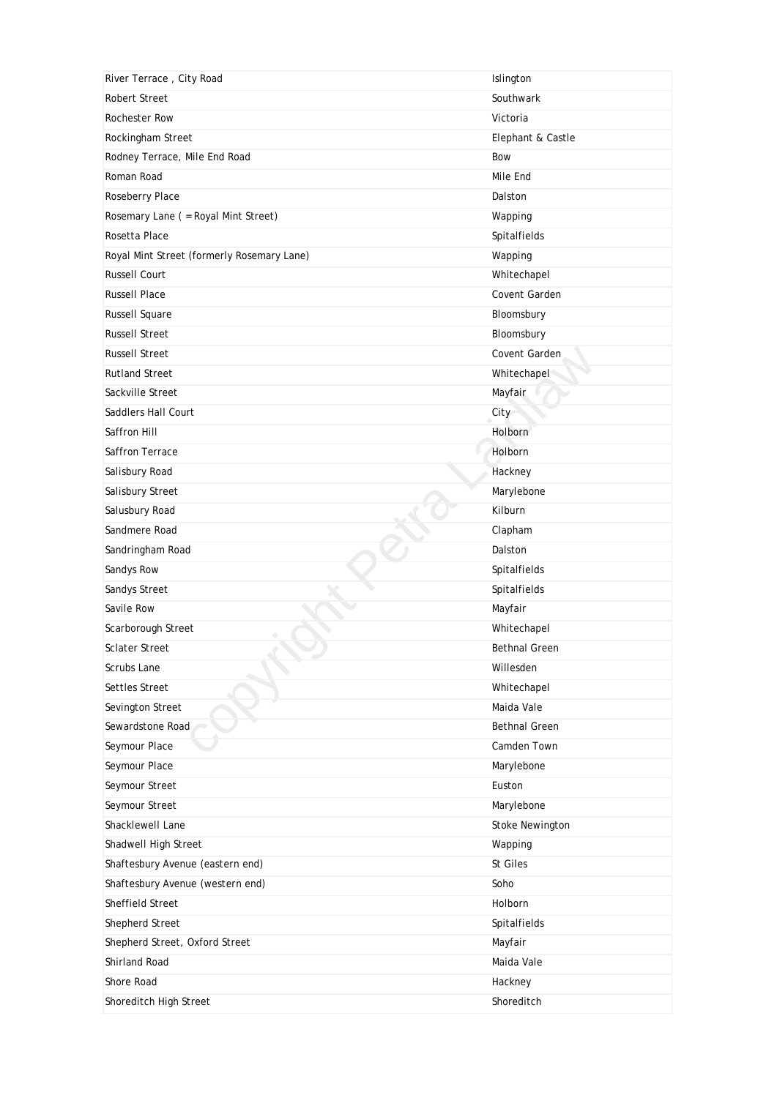| River Terrace, City Road                   | Islington              |
|--------------------------------------------|------------------------|
| <b>Robert Street</b>                       | Southwark              |
| <b>Rochester Row</b>                       | Victoria               |
| Rockingham Street                          | Elephant & Castle      |
| Rodney Terrace, Mile End Road              | Bow                    |
| Roman Road                                 | Mile End               |
| Roseberry Place                            | Dalston                |
| Rosemary Lane ( = Royal Mint Street)       | Wapping                |
| Rosetta Place                              | Spitalfields           |
| Royal Mint Street (formerly Rosemary Lane) | Wapping                |
| <b>Russell Court</b>                       | Whitechapel            |
| <b>Russell Place</b>                       | Covent Garden          |
| <b>Russell Square</b>                      | Bloomsbury             |
| <b>Russell Street</b>                      | Bloomsbury             |
| <b>Russell Street</b>                      | Covent Garden          |
| <b>Rutland Street</b>                      | Whitechapel            |
| Sackville Street                           | Mayfair                |
| Saddlers Hall Court                        | City                   |
| Saffron Hill                               | Holborn                |
| Saffron Terrace                            | Holborn                |
| Salisbury Road                             | Hackney                |
| Salisbury Street                           | Marylebone             |
| Salusbury Road                             | Kilburn                |
| Sandmere Road                              | Clapham                |
| Sandringham Road                           | Dalston                |
| Sandys Row                                 | Spitalfields           |
| Sandys Street                              | Spitalfields           |
| Savile Row                                 | Mayfair                |
| Scarborough Street                         | Whitechapel            |
| <b>Sclater Street</b>                      | <b>Bethnal Green</b>   |
| Scrubs Lane                                | Willesden              |
| Settles Street                             | Whitechapel            |
| Sevington Street                           | Maida Vale             |
| Sewardstone Road                           | <b>Bethnal Green</b>   |
| Seymour Place                              | Camden Town            |
| Seymour Place                              | Marylebone             |
| Seymour Street                             | Euston                 |
| Seymour Street                             | Marylebone             |
| Shacklewell Lane                           | <b>Stoke Newington</b> |
| Shadwell High Street                       | Wapping                |
| Shaftesbury Avenue (eastern end)           | St Giles               |
| Shaftesbury Avenue (western end)           | Soho                   |
| Sheffield Street                           | Holborn                |
| Shepherd Street                            | Spitalfields           |
| Shepherd Street, Oxford Street             | Mayfair                |
| Shirland Road                              | Maida Vale             |
| Shore Road                                 | Hackney                |
| Shoreditch High Street                     | Shoreditch             |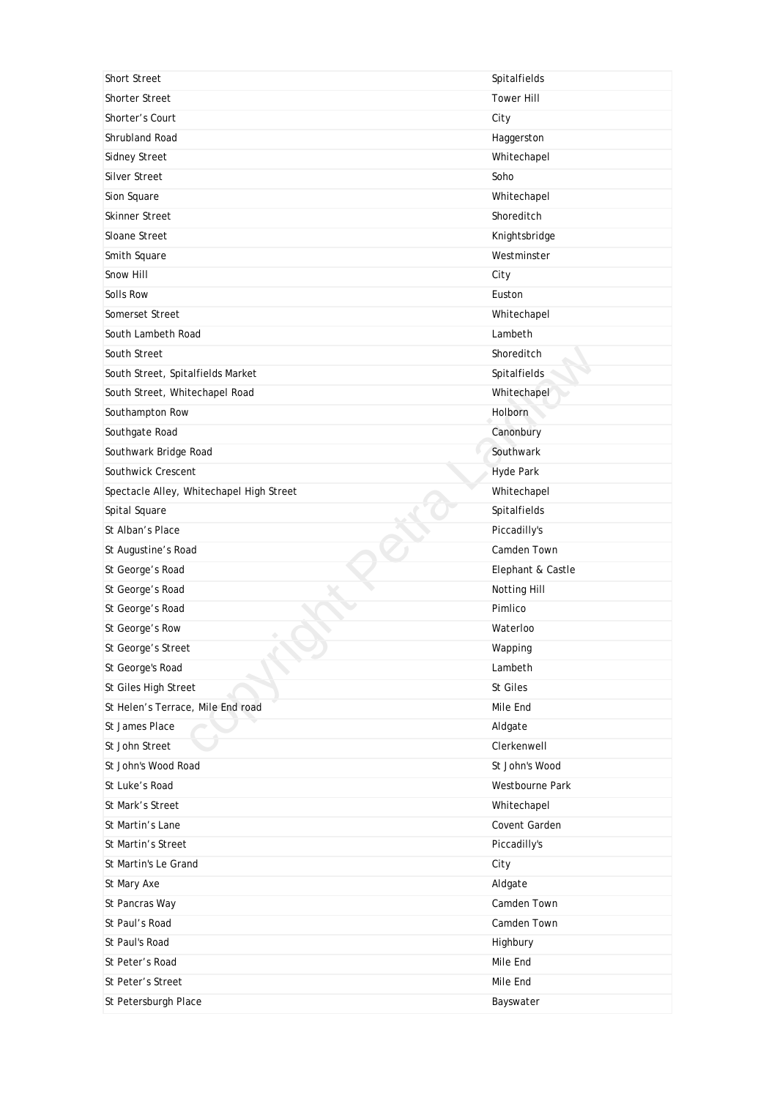| <b>Short Street</b>                      | Spitalfields      |
|------------------------------------------|-------------------|
| <b>Shorter Street</b>                    | <b>Tower Hill</b> |
| Shorter's Court                          | City              |
| Shrubland Road                           | Haggerston        |
| <b>Sidney Street</b>                     | Whitechapel       |
| <b>Silver Street</b>                     | Soho              |
| Sion Square                              | Whitechapel       |
| Skinner Street                           | Shoreditch        |
| Sloane Street                            | Knightsbridge     |
| Smith Square                             | Westminster       |
| Snow Hill                                | City              |
| Solls Row                                | Euston            |
| Somerset Street                          | Whitechapel       |
| South Lambeth Road                       | Lambeth           |
| South Street                             | Shoreditch        |
| South Street, Spitalfields Market        | Spitalfields      |
| South Street, Whitechapel Road           | Whitechapel       |
| Southampton Row                          | <b>Holborn</b>    |
| Southgate Road                           | Canonbury         |
| Southwark Bridge Road                    | Southwark         |
| Southwick Crescent                       | <b>Hyde Park</b>  |
| Spectacle Alley, Whitechapel High Street | Whitechapel       |
| Spital Square                            | Spitalfields      |
| St Alban's Place                         | Piccadilly's      |
| St Augustine's Road                      | Camden Town       |
| St George's Road                         | Elephant & Castle |
| St George's Road                         | Notting Hill      |
| St George's Road                         | Pimlico           |
| St George's Row                          | Waterloo          |
| St George's Street                       | Wapping           |
| St George's Road                         | Lambeth           |
| St Giles High Street                     | St Giles          |
| St Helen's Terrace, Mile End road        | Mile End          |
| St James Place                           | Aldgate           |
| St John Street                           | Clerkenwell       |
| St John's Wood Road                      | St John's Wood    |
| St Luke's Road                           | Westbourne Park   |
| St Mark's Street                         | Whitechapel       |
| St Martin's Lane                         | Covent Garden     |
| St Martin's Street                       | Piccadilly's      |
| St Martin's Le Grand                     | City              |
| St Mary Axe                              | Aldgate           |
| St Pancras Way                           | Camden Town       |
| St Paul's Road                           | Camden Town       |
| St Paul's Road                           | Highbury          |
| St Peter's Road                          | Mile End          |
| St Peter's Street                        | Mile End          |
| St Petersburgh Place                     | Bayswater         |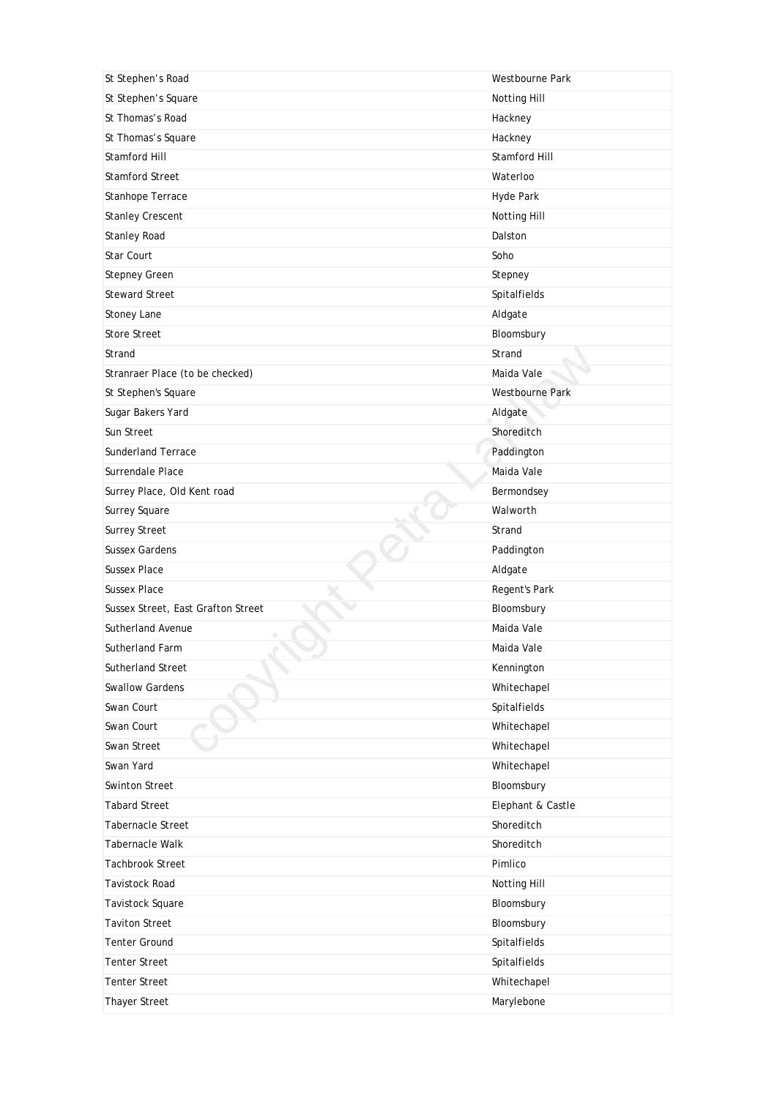| St Stephen's Road                  | Westbourne Park        |
|------------------------------------|------------------------|
| St Stephen's Square                | Notting Hill           |
| St Thomas's Road                   | Hackney                |
| St Thomas's Square                 | Hackney                |
| Stamford Hill                      | Stamford Hill          |
| <b>Stamford Street</b>             | Waterloo               |
| Stanhope Terrace                   | Hyde Park              |
| <b>Stanley Crescent</b>            | Notting Hill           |
| <b>Stanley Road</b>                | Dalston                |
| <b>Star Court</b>                  | Soho                   |
| <b>Stepney Green</b>               | Stepney                |
| <b>Steward Street</b>              | Spitalfields           |
| Stoney Lane                        | Aldgate                |
| <b>Store Street</b>                | Bloomsbury             |
| Strand                             | Strand                 |
| Stranraer Place (to be checked)    | Maida Vale             |
| St Stephen's Square                | <b>Westbourne Park</b> |
| Sugar Bakers Yard                  | Aldgate                |
| Sun Street                         | Shoreditch             |
| <b>Sunderland Terrace</b>          | Paddington             |
| Surrendale Place                   | Maida Vale             |
| Surrey Place, Old Kent road        | Bermondsey             |
| Surrey Square                      | Walworth               |
| <b>Surrey Street</b>               | Strand                 |
| <b>Sussex Gardens</b>              | Paddington             |
| <b>Sussex Place</b>                | Aldgate                |
| <b>Sussex Place</b>                | Regent's Park          |
| Sussex Street, East Grafton Street | Bloomsbury             |
| <b>Sutherland Avenue</b>           | Maida Vale             |
| Sutherland Farm                    | Maida Vale             |
| Sutherland Street                  | Kennington             |
| <b>Swallow Gardens</b>             | Whitechapel            |
| Swan Court                         | Spitalfields           |
| Swan Court                         | Whitechapel            |
| Swan Street                        | Whitechapel            |
| Swan Yard                          | Whitechapel            |
| Swinton Street                     | Bloomsbury             |
| <b>Tabard Street</b>               | Elephant & Castle      |
| <b>Tabernacle Street</b>           | Shoreditch             |
| Tabernacle Walk                    | Shoreditch             |
| <b>Tachbrook Street</b>            | Pimlico                |
| <b>Tavistock Road</b>              | Notting Hill           |
| Tavistock Square                   | Bloomsbury             |
| <b>Taviton Street</b>              | Bloomsbury             |
| <b>Tenter Ground</b>               | Spitalfields           |
| Tenter Street                      | Spitalfields           |
| <b>Tenter Street</b>               | Whitechapel            |
| Thayer Street                      |                        |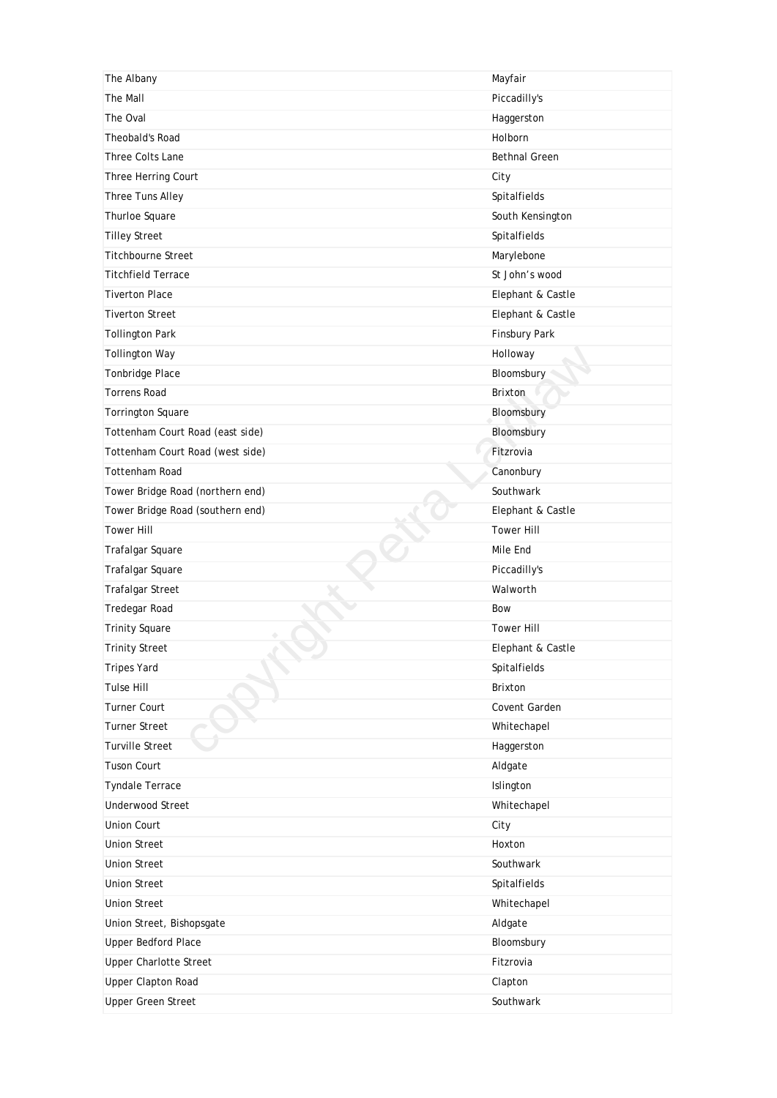| The Albany                       | Mayfair              |
|----------------------------------|----------------------|
| The Mall                         | Piccadilly's         |
| The Oval                         | Haggerston           |
| Theobald's Road                  | Holborn              |
| <b>Three Colts Lane</b>          | <b>Bethnal Green</b> |
| Three Herring Court              | City                 |
| Three Tuns Alley                 | Spitalfields         |
| Thurloe Square                   | South Kensington     |
| <b>Tilley Street</b>             | Spitalfields         |
| <b>Titchbourne Street</b>        | Marylebone           |
| <b>Titchfield Terrace</b>        | St John's wood       |
| <b>Tiverton Place</b>            | Elephant & Castle    |
| <b>Tiverton Street</b>           | Elephant & Castle    |
| <b>Tollington Park</b>           | Finsbury Park        |
| <b>Tollington Way</b>            | Holloway             |
| Tonbridge Place                  | Bloomsbury           |
| <b>Torrens Road</b>              | Brixton              |
| Torrington Square                | Bloomsbury           |
| Tottenham Court Road (east side) | Bloomsbury           |
| Tottenham Court Road (west side) | Fitzrovia            |
| <b>Tottenham Road</b>            | Canonbury            |
| Tower Bridge Road (northern end) | Southwark            |
| Tower Bridge Road (southern end) | Elephant & Castle    |
| <b>Tower Hill</b>                | <b>Tower Hill</b>    |
| Trafalgar Square                 | Mile End             |
| Trafalgar Square                 | Piccadilly's         |
| <b>Trafalgar Street</b>          | Walworth             |
| Tredegar Road                    | Bow                  |
| <b>Trinity Square</b>            | <b>Tower Hill</b>    |
| <b>Trinity Street</b>            | Elephant & Castle    |
| <b>Tripes Yard</b>               | Spitalfields         |
| <b>Tulse Hill</b>                | Brixton              |
| Turner Court                     | Covent Garden        |
| <b>Turner Street</b>             | Whitechapel          |
| <b>Turville Street</b>           | Haggerston           |
| <b>Tuson Court</b>               | Aldgate              |
| <b>Tyndale Terrace</b>           | Islington            |
| <b>Underwood Street</b>          | Whitechapel          |
| <b>Union Court</b>               | City                 |
| <b>Union Street</b>              | Hoxton               |
| <b>Union Street</b>              | Southwark            |
| <b>Union Street</b>              | Spitalfields         |
| <b>Union Street</b>              | Whitechapel          |
| Union Street, Bishopsgate        | Aldgate              |
| <b>Upper Bedford Place</b>       | Bloomsbury           |
| <b>Upper Charlotte Street</b>    | Fitzrovia            |
| <b>Upper Clapton Road</b>        |                      |
|                                  | Clapton              |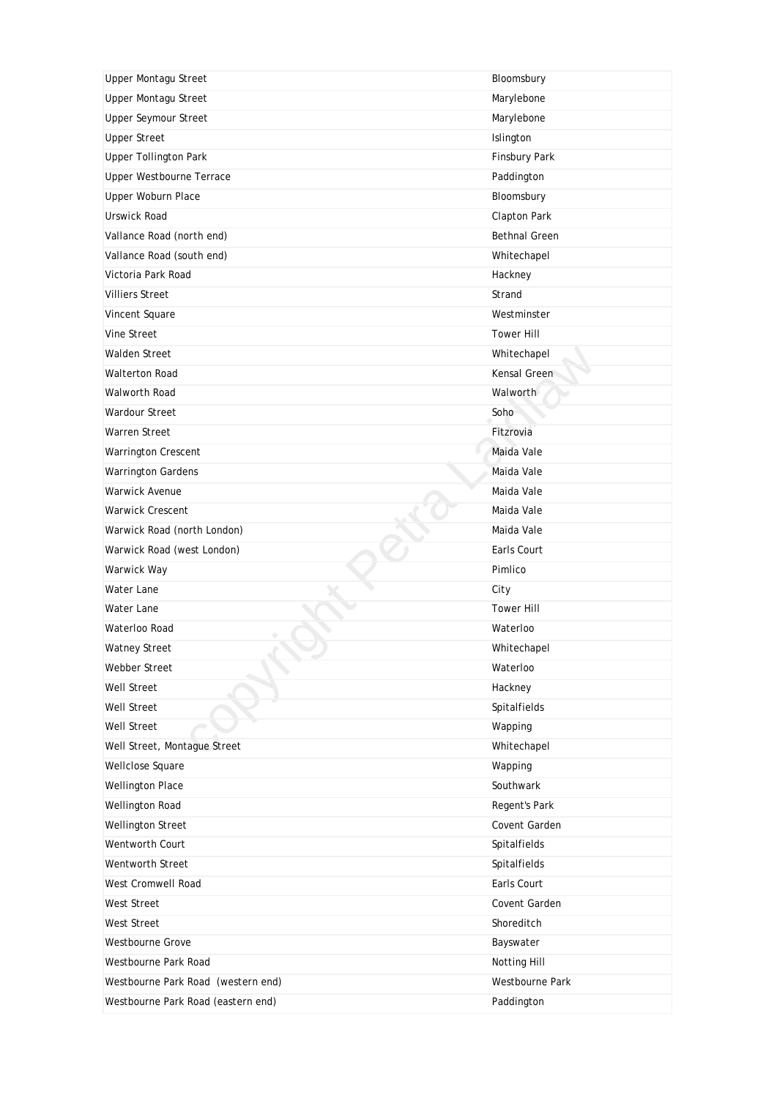| <b>Upper Montagu Street</b>        | Bloomsbury           |
|------------------------------------|----------------------|
| <b>Upper Montagu Street</b>        | Marylebone           |
| <b>Upper Seymour Street</b>        | Marylebone           |
| <b>Upper Street</b>                | Islington            |
| <b>Upper Tollington Park</b>       | Finsbury Park        |
| <b>Upper Westbourne Terrace</b>    | Paddington           |
| Upper Woburn Place                 | Bloomsbury           |
| Urswick Road                       | Clapton Park         |
| Vallance Road (north end)          | <b>Bethnal Green</b> |
| Vallance Road (south end)          | Whitechapel          |
| Victoria Park Road                 | Hackney              |
| <b>Villiers Street</b>             | Strand               |
| Vincent Square                     | Westminster          |
| Vine Street                        | <b>Tower Hill</b>    |
| <b>Walden Street</b>               | Whitechapel          |
| <b>Walterton Road</b>              | Kensal Green         |
| <b>Walworth Road</b>               | Walworth             |
| <b>Wardour Street</b>              | Soho                 |
| <b>Warren Street</b>               | Fitzrovia            |
| Warrington Crescent                | Maida Vale           |
| <b>Warrington Gardens</b>          | Maida Vale           |
| <b>Warwick Avenue</b>              | Maida Vale           |
| <b>Warwick Crescent</b>            | Maida Vale           |
| Warwick Road (north London)        | Maida Vale           |
| Warwick Road (west London)         | Earls Court          |
| Warwick Way                        | Pimlico              |
| Water Lane                         | City                 |
| Water Lane                         | <b>Tower Hill</b>    |
| Waterloo Road                      | Waterloo             |
| <b>Watney Street</b>               | Whitechapel          |
| Webber Street                      | Waterloo             |
| Well Street                        |                      |
|                                    | Hackney              |
| <b>Well Street</b>                 | Spitalfields         |
| <b>Well Street</b>                 | Wapping              |
| Well Street, Montague Street       | Whitechapel          |
| Wellclose Square                   | Wapping              |
| Wellington Place                   | Southwark            |
| Wellington Road                    | Regent's Park        |
| Wellington Street                  | Covent Garden        |
| Wentworth Court                    | Spitalfields         |
| Wentworth Street                   | Spitalfields         |
| West Cromwell Road                 | Earls Court          |
| West Street                        | Covent Garden        |
| West Street                        | Shoreditch           |
| Westbourne Grove                   | Bayswater            |
| Westbourne Park Road               | Notting Hill         |
| Westbourne Park Road (western end) | Westbourne Park      |